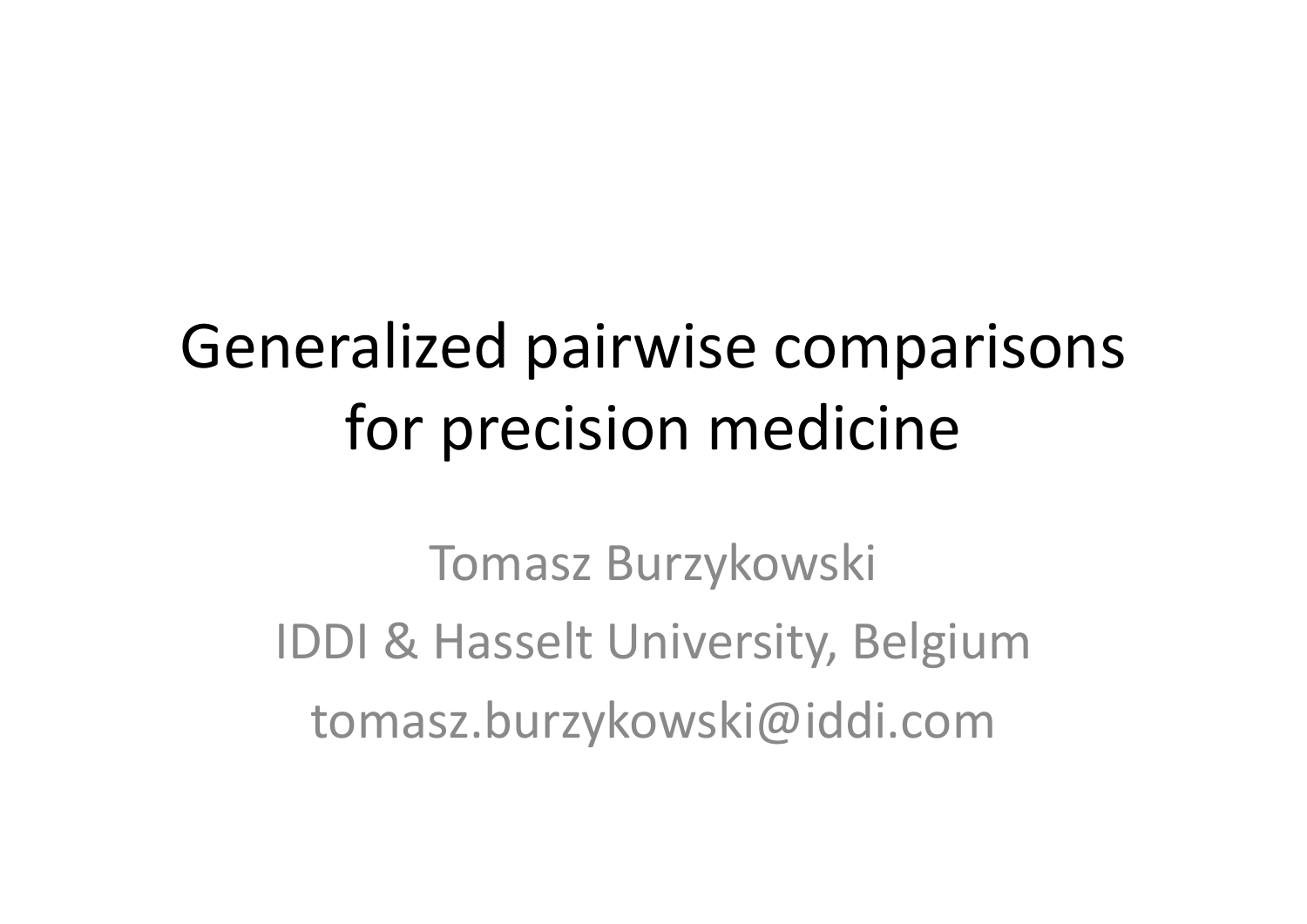# Generalized pairwise comparisons for precision medicine

Tomasz Burzykowski IDDI & Hasselt University, Belgium tomasz.burzykowski@iddi.com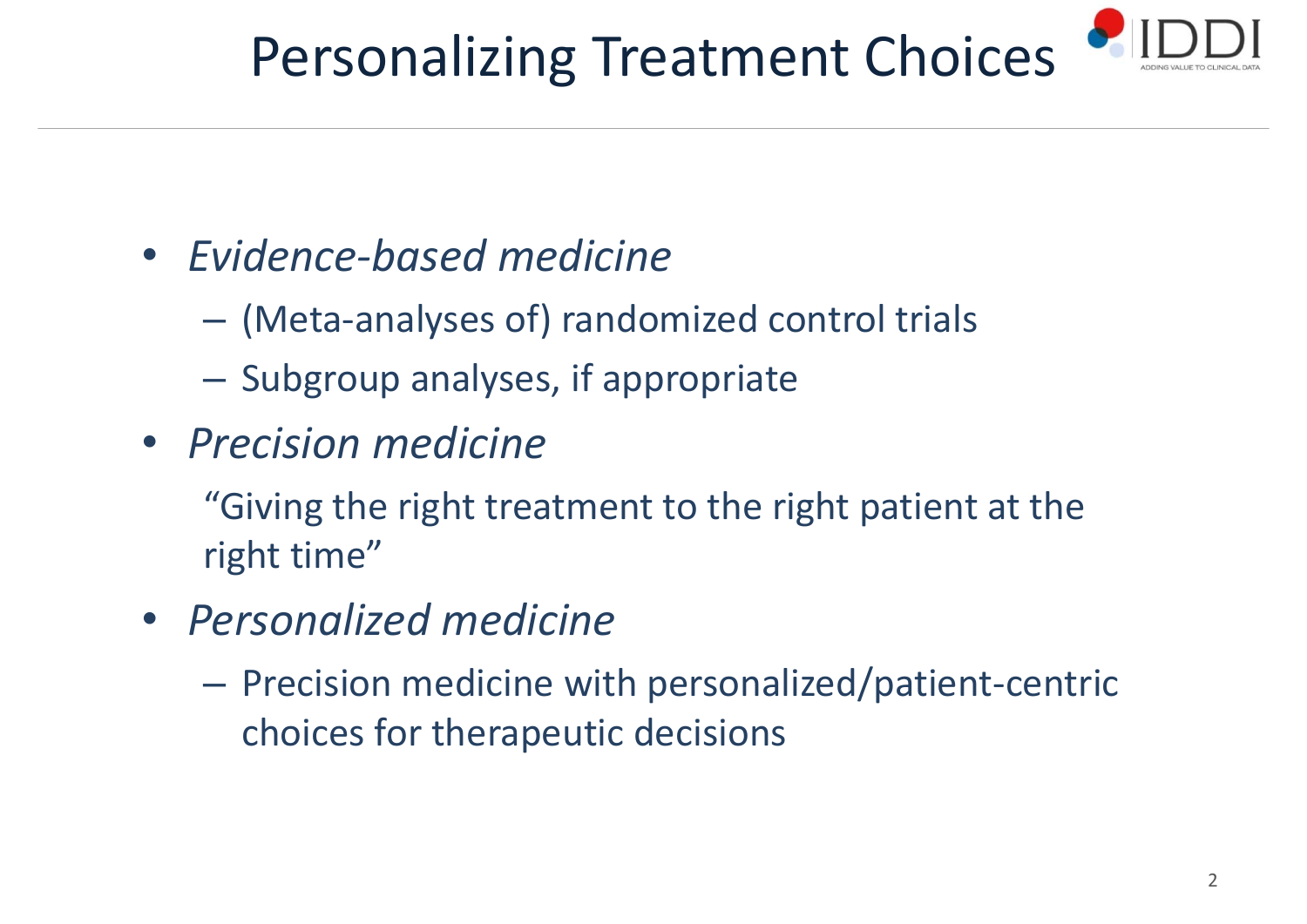# Personalizing Treatment Choices



- *Evidence‐based medicine*
	- (Meta‐analyses of) randomized control trials
	- $-$  Subgroup analyses, if appropriate
- *Precision medicine*
	- "Giving the right treatment to the right patient at the right time"
- *Personalized medicine*
	- Precision medicine with personalized/patient‐centric choices for therapeutic decisions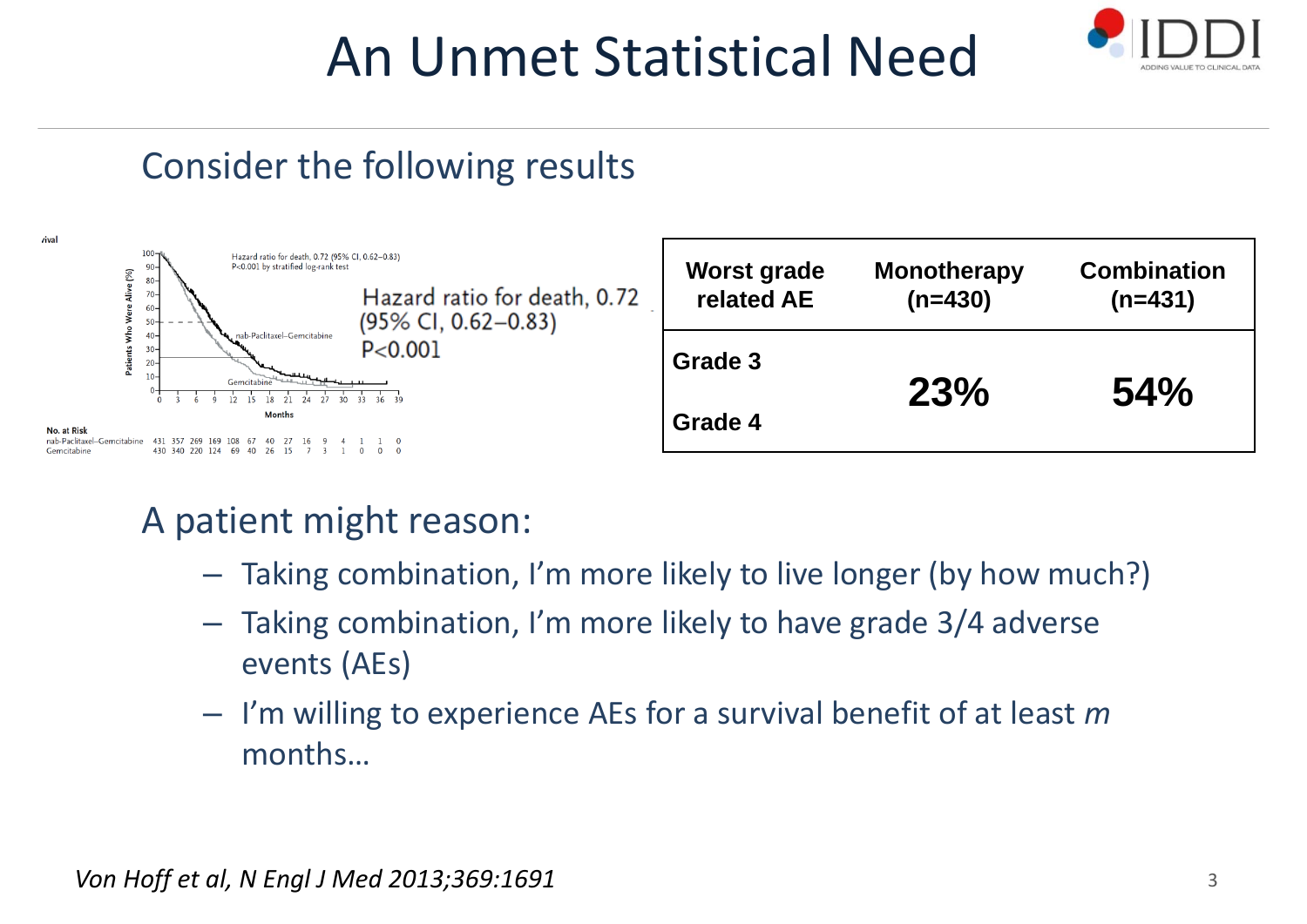## An Unmet Statistical Need



### Consider the following results



- A patient might reason:
	- Taking combination, I'm more likely to live longer (by how much?)
	- – Taking combination, I'm more likely to have grade 3/4 adverse events (AEs)
	- I'm willing to experience AEs for <sup>a</sup> survival benefit of at least *<sup>m</sup>* months…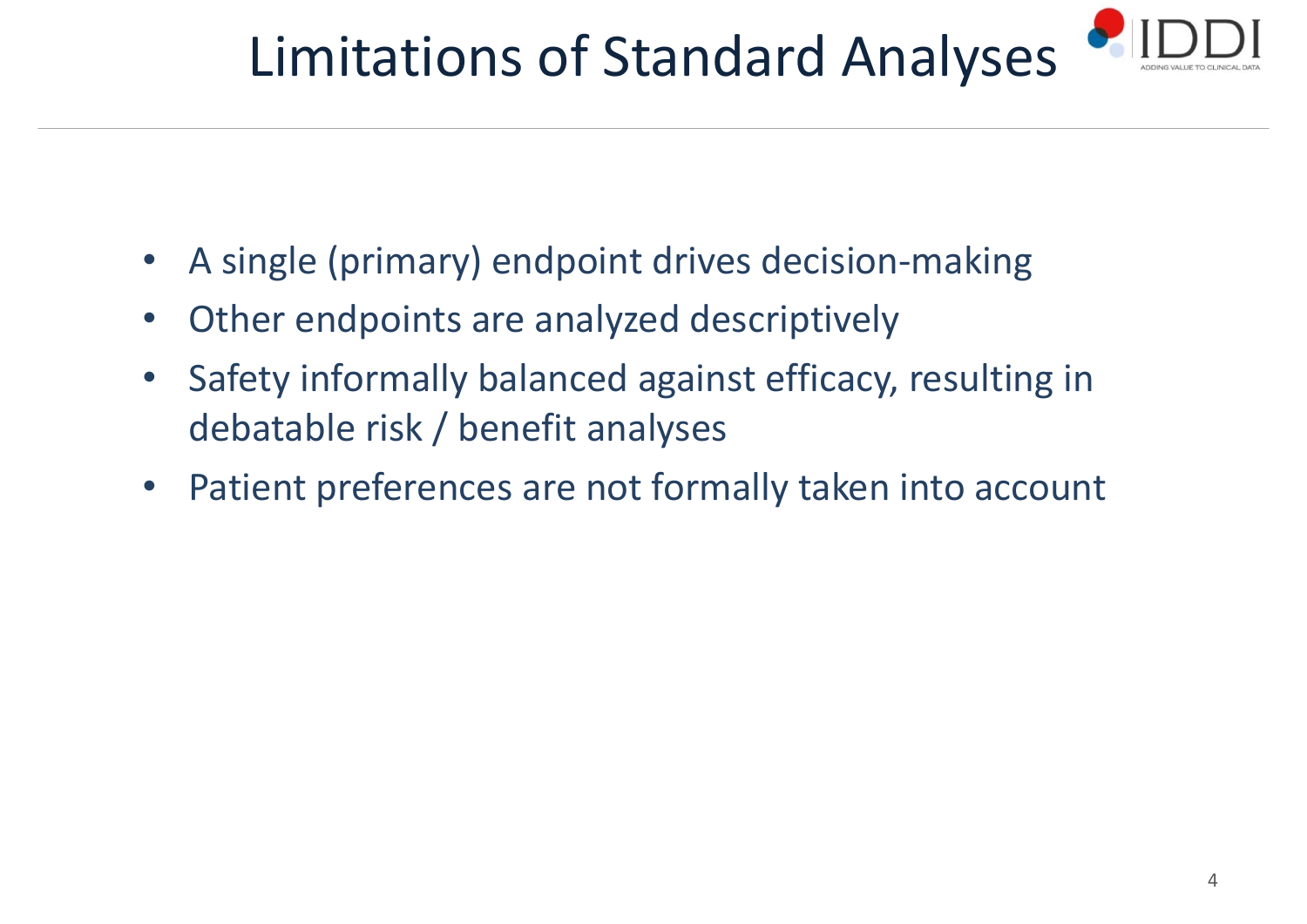# Limitations of Standard Analyses



- $\bullet$ A single (primary) endpoint drives decision‐making
- $\bullet$ Other endpoints are analyzed descriptively
- $\bullet$  Safety informally balanced against efficacy, resulting in debatable risk / benefit analyses
- $\bullet$ Patient preferences are not formally taken into account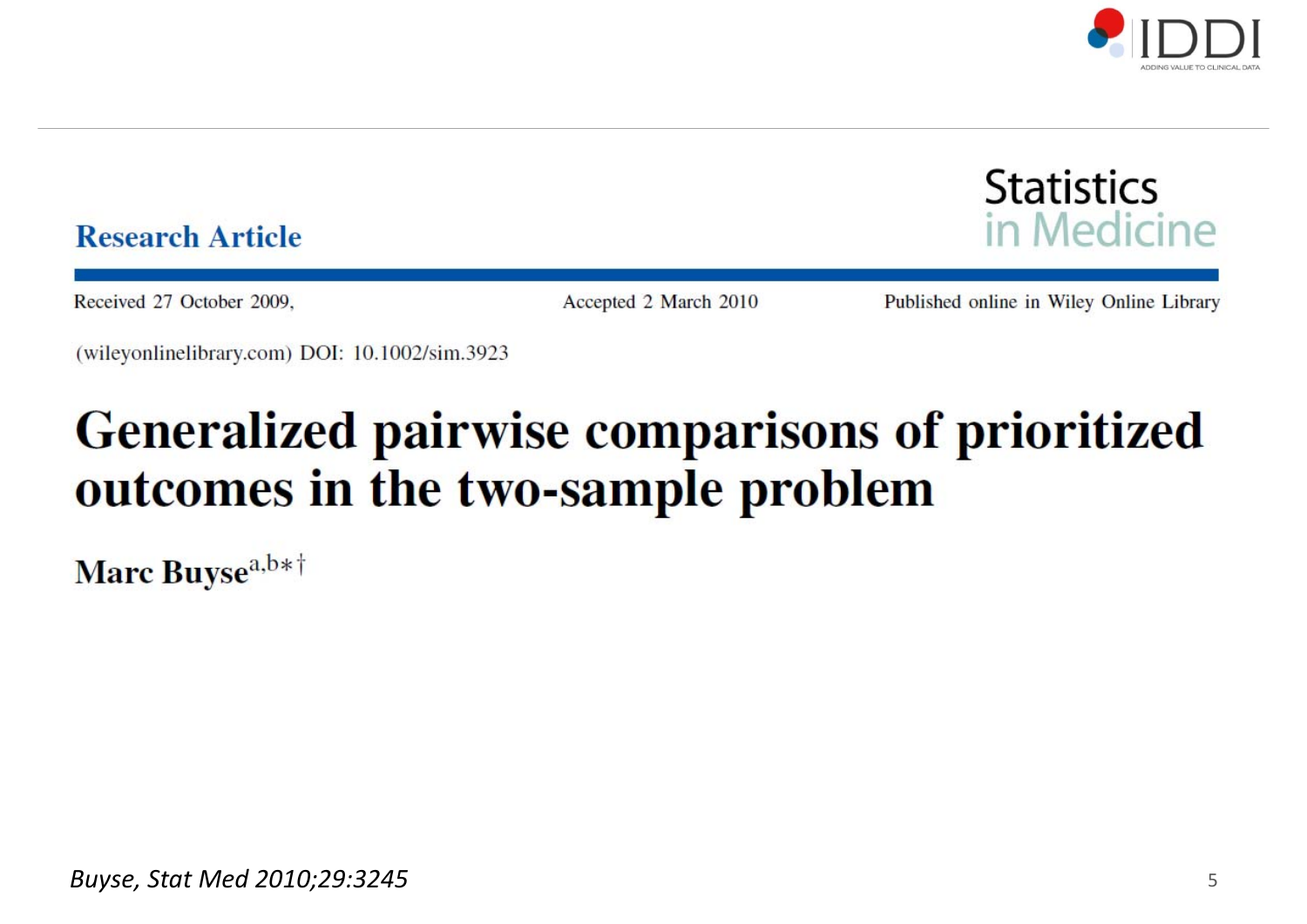



### **Research Article**

Received 27 October 2009.

Accepted 2 March 2010

Published online in Wiley Online Library

(wileyonlinelibrary.com) DOI: 10.1002/sim.3923

### **Generalized pairwise comparisons of prioritized** outcomes in the two-sample problem

Marc Buyse<sup>a,b\*†</sup>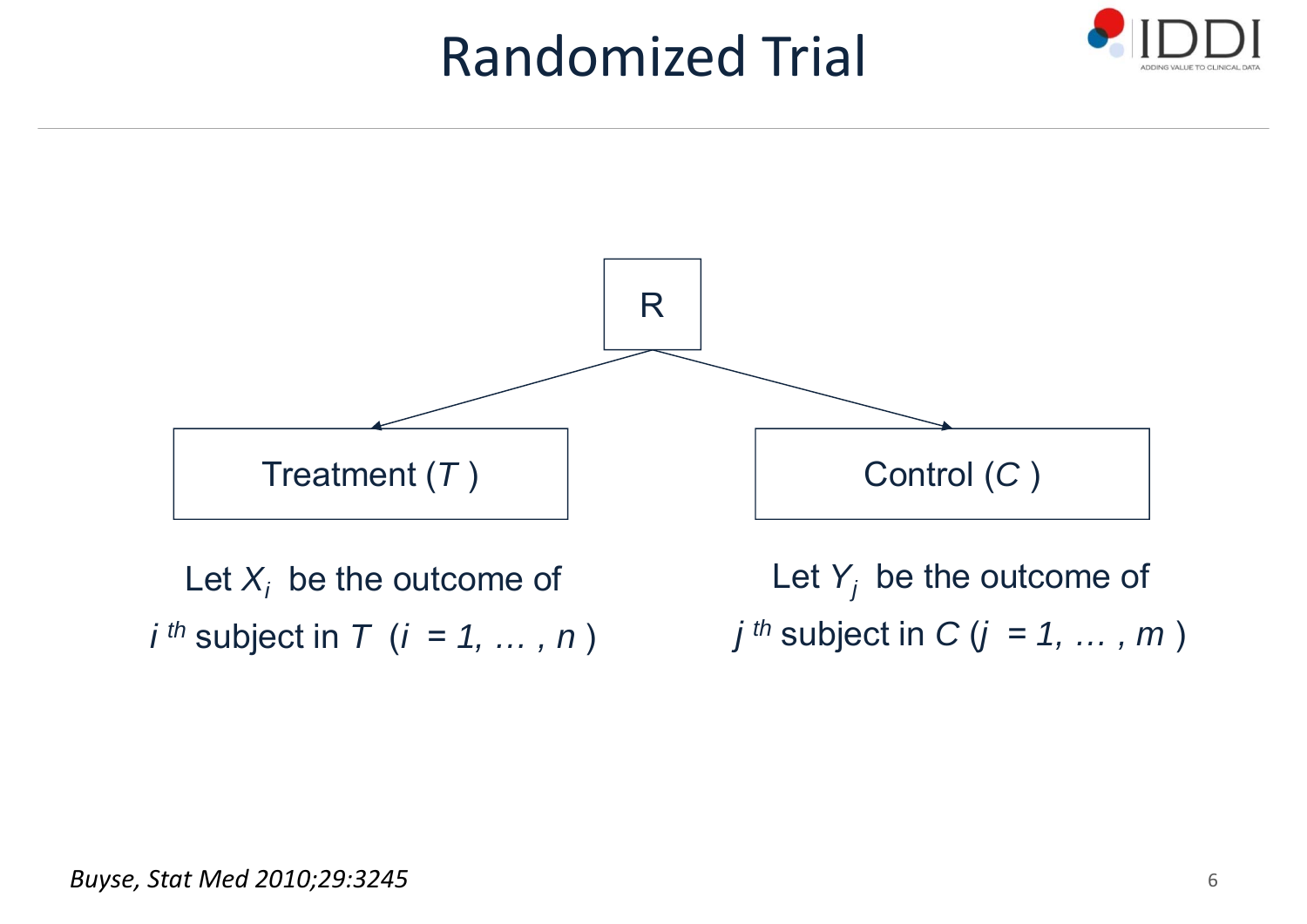### Randomized Trial





*i th* subject in *T* (*i* <sup>=</sup> *1, … , n* )

*j th* subject in *C* (*j* <sup>=</sup> *1, … , m* )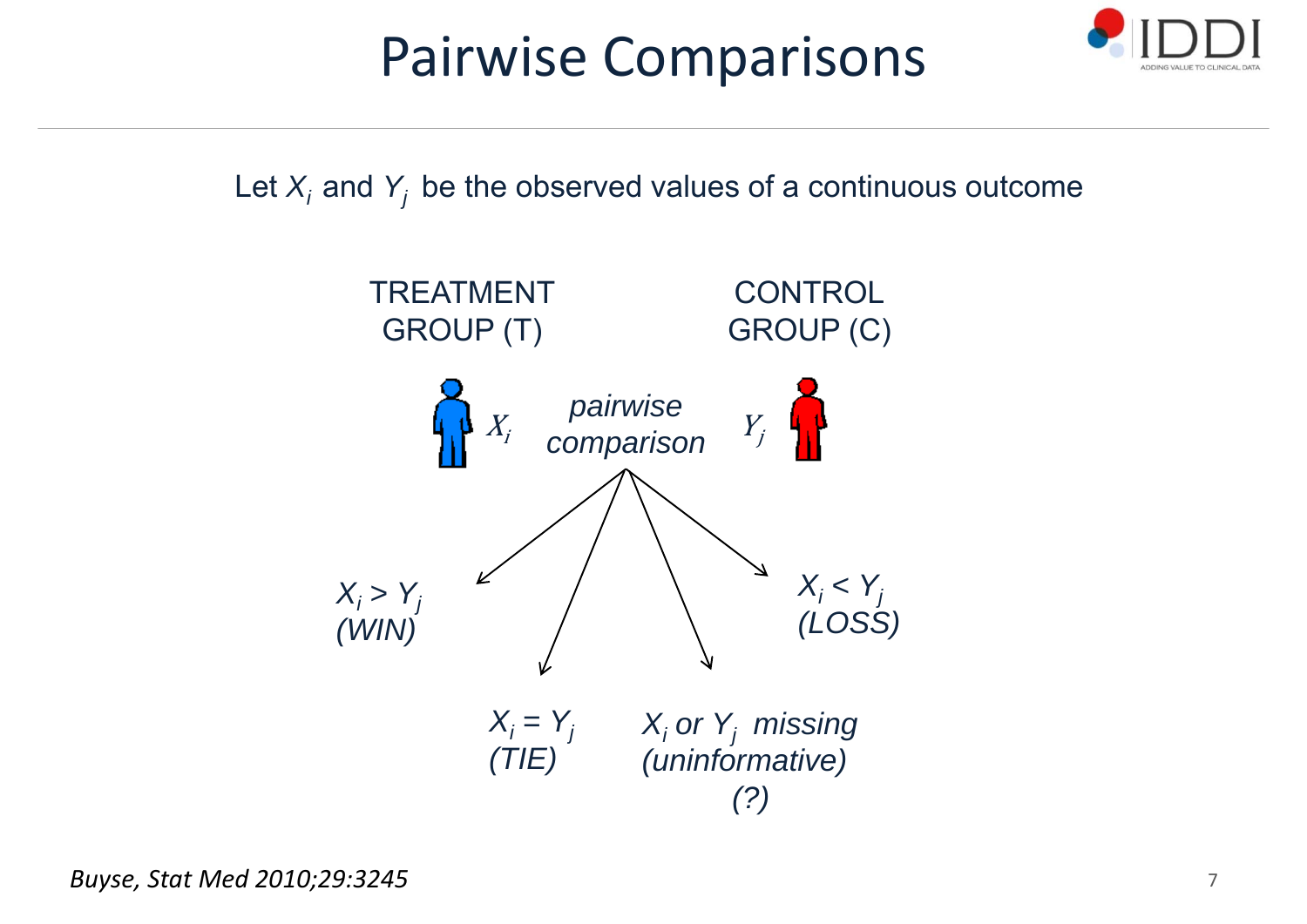## Pairwise Comparisons



Let  $X_i$  and  $Y_j$  be the observed values of a continuous outcome

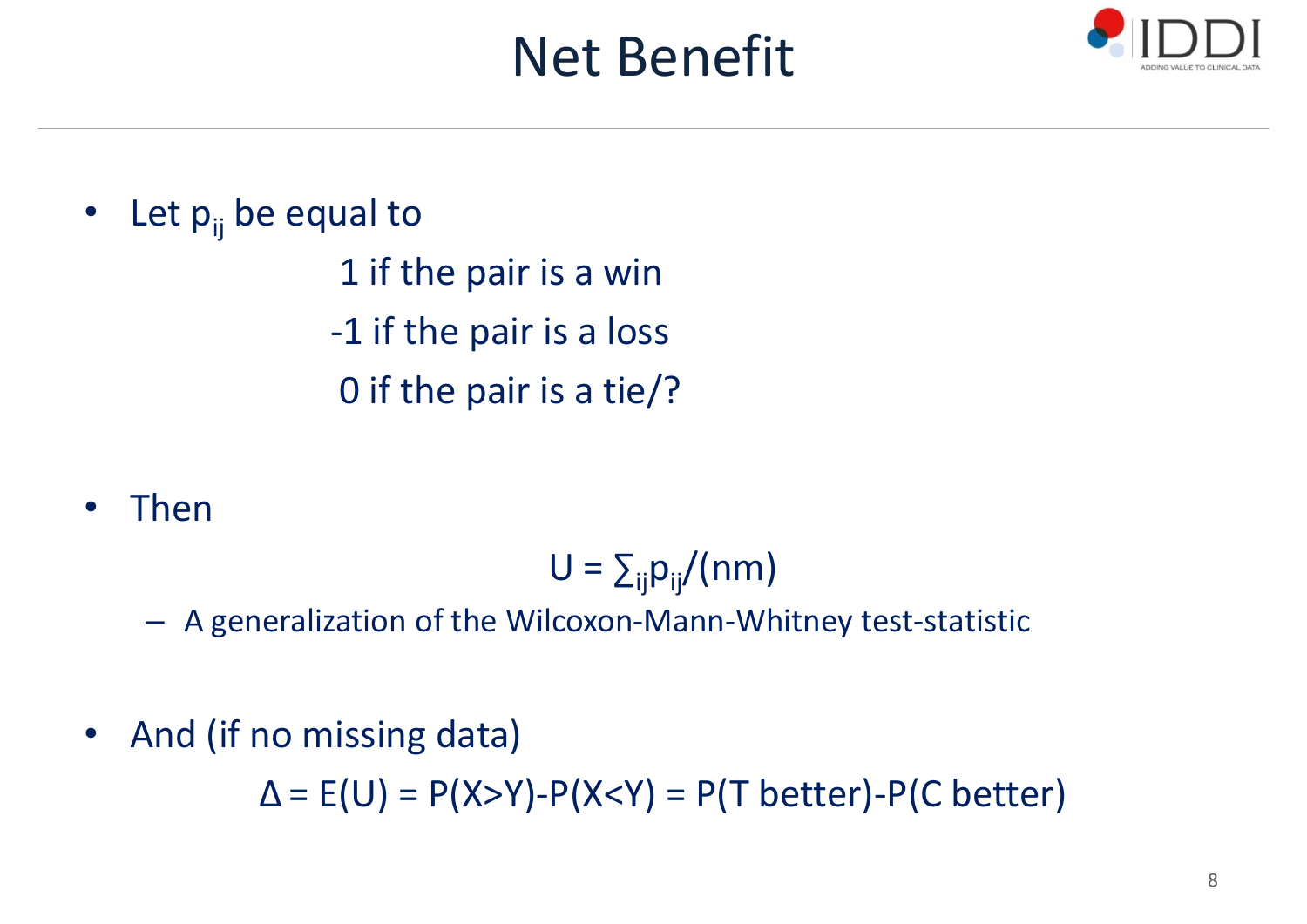## Net Benefit



•Let  $p_{ii}$  be equal to 1 if the pair is <sup>a</sup> win ‐1 if the pair is <sup>a</sup> loss 0 if the pair is <sup>a</sup> tie/?

•Then

 $U = \sum_{ij} p_{ij} / (nm)$ 

– A generalization of the Wilcoxon‐Mann‐Whitney test‐statistic

 $\bullet$ • And (if no missing data)

Δ <sup>=</sup> E(U) <sup>=</sup> P(X>Y)‐P(X<Y) <sup>=</sup> P(T better)‐P(C better)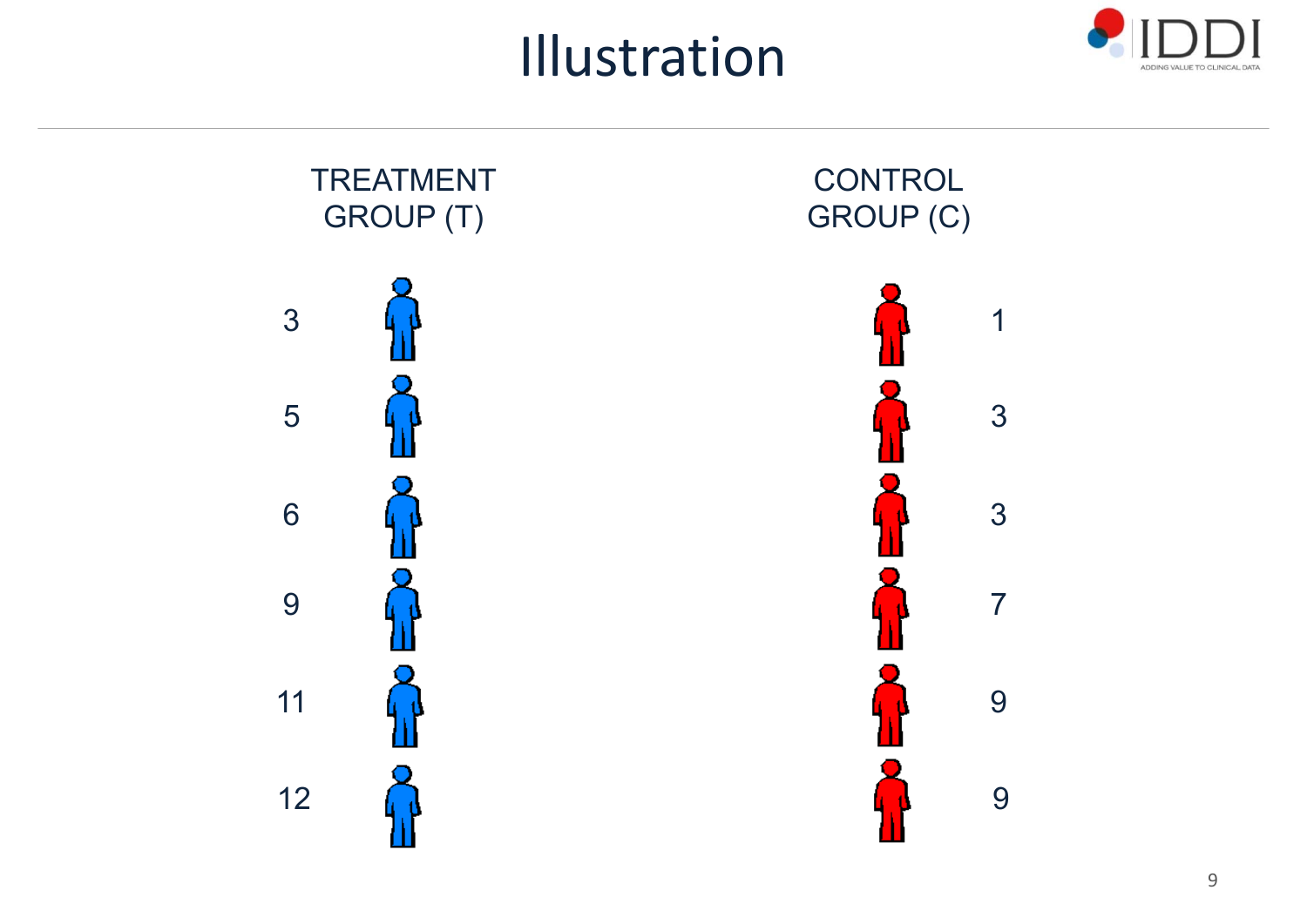Illustration



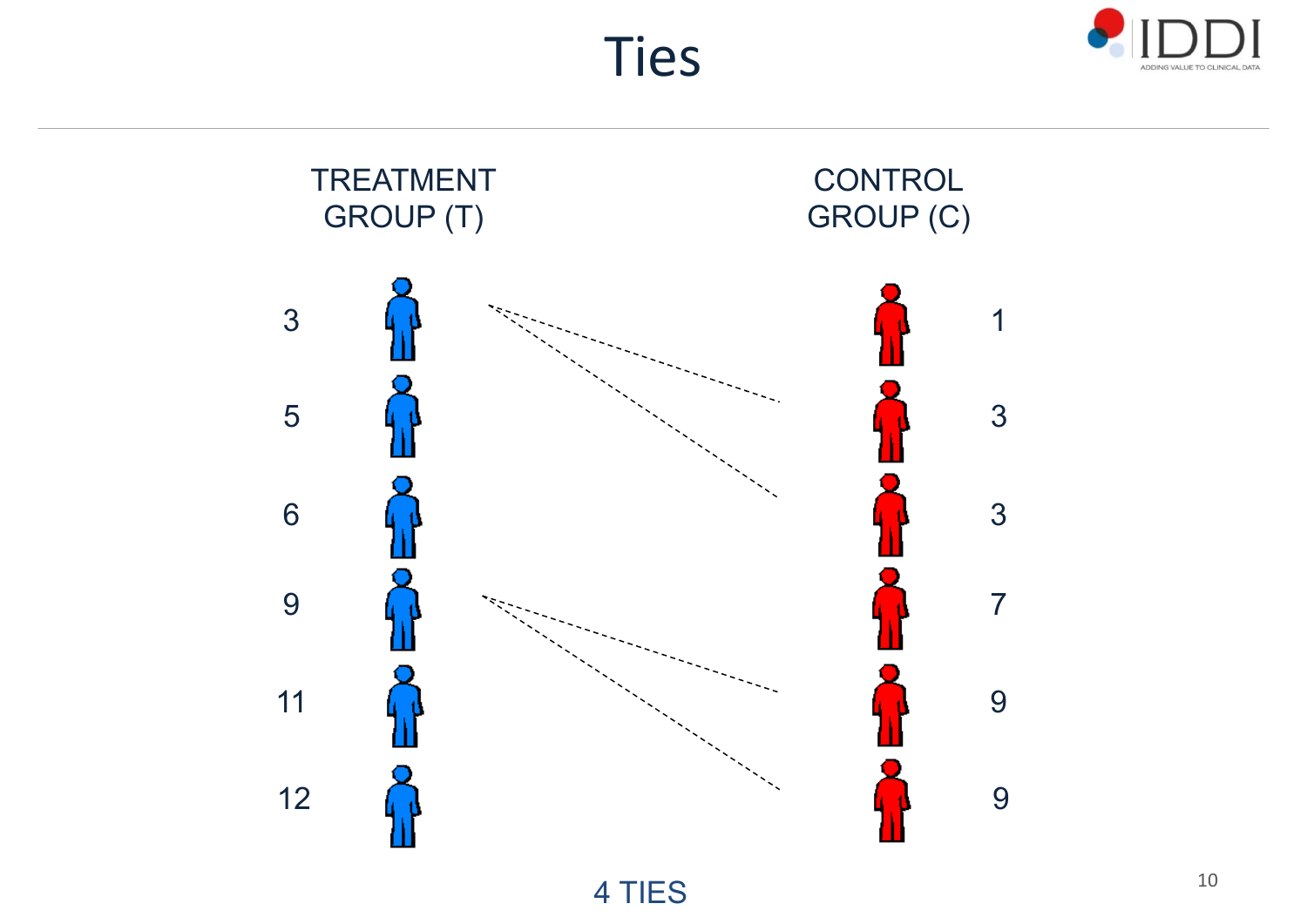



Ties

4 TIES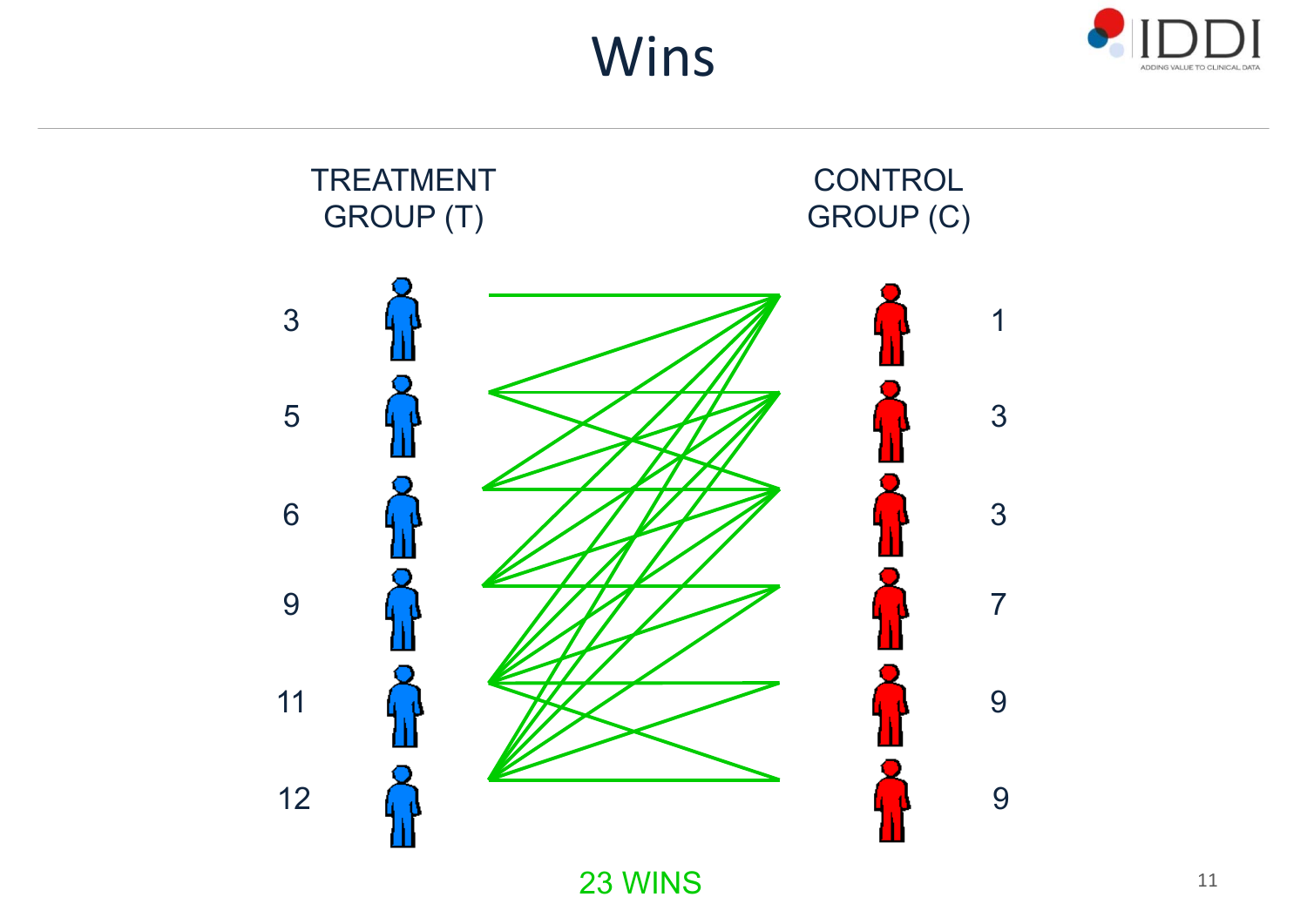Wins





23 WINS $\mathbf S$  11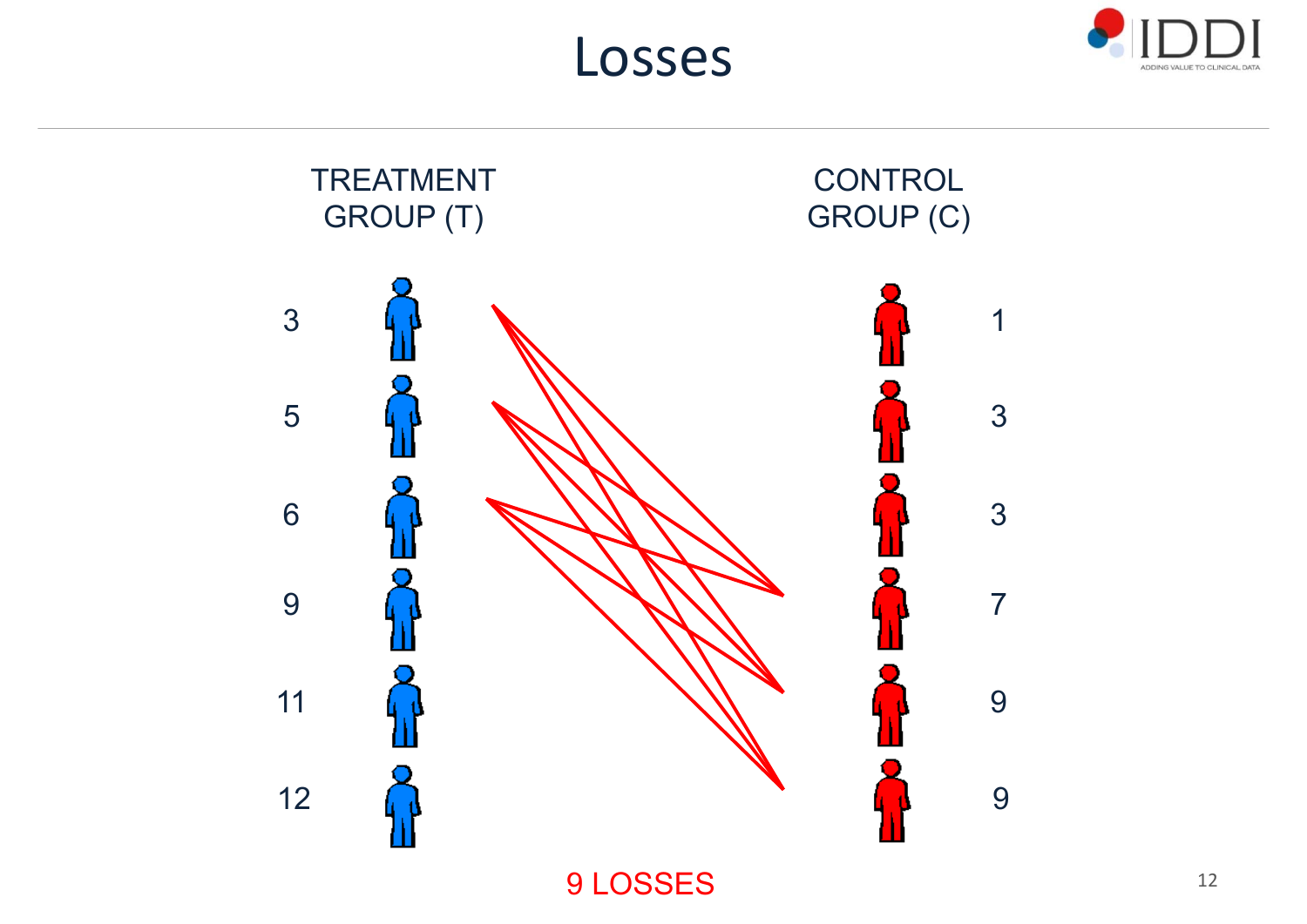





9 LOSSES $S$  and  $12$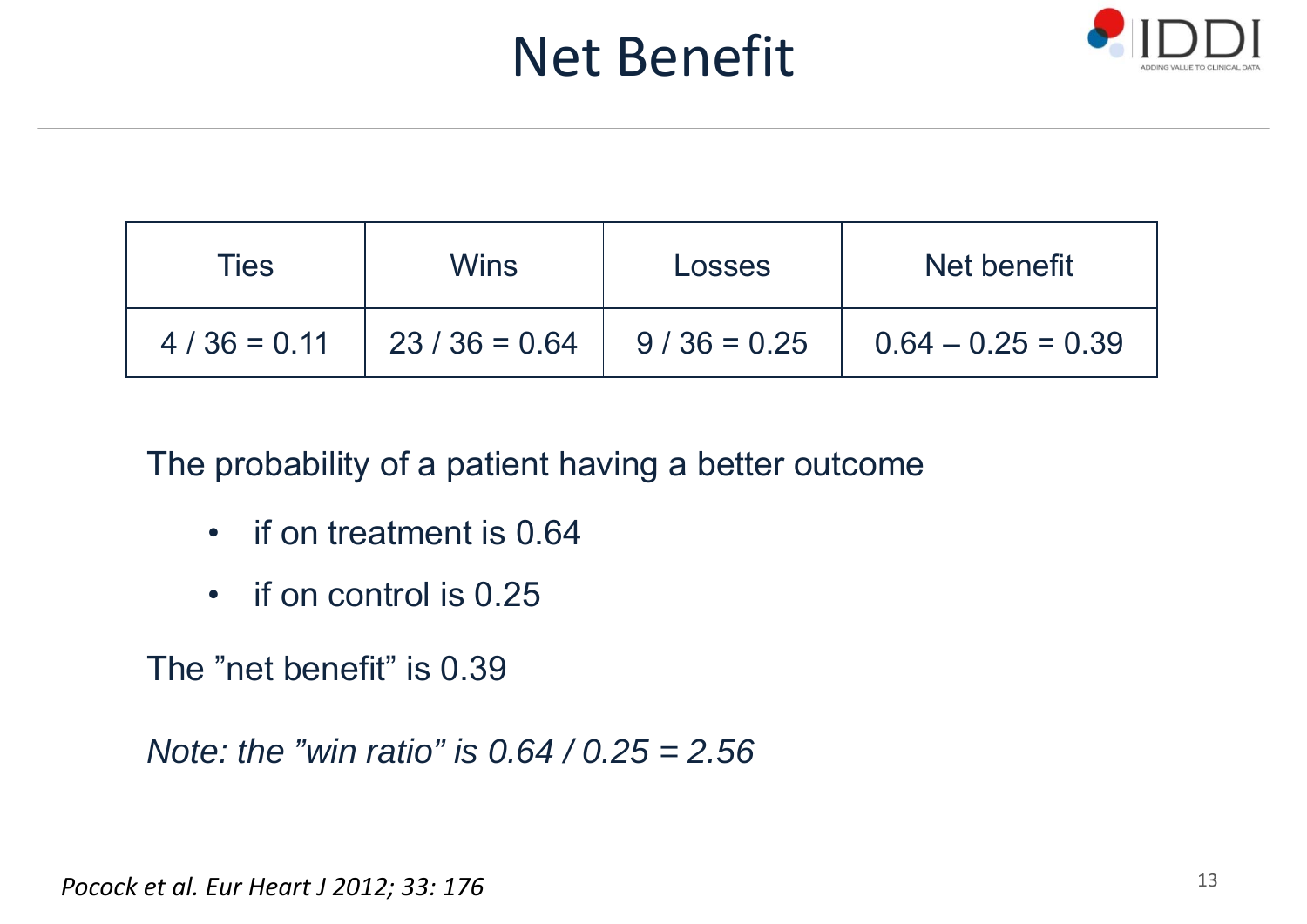## Net Benefit



| <b>Ties</b>   | <b>Wins</b>    | Losses        | Net benefit          |
|---------------|----------------|---------------|----------------------|
| $4/36 = 0.11$ | $23/36 = 0.64$ | $9/36 = 0.25$ | $0.64 - 0.25 = 0.39$ |

The probability of a patient having a better outcome

- •if on treatment is 0.64
- •if on control is 0.25

The "net benefit" is 0.39

*Note: the "win ratio" is 0.64 / 0.25 = 2.56*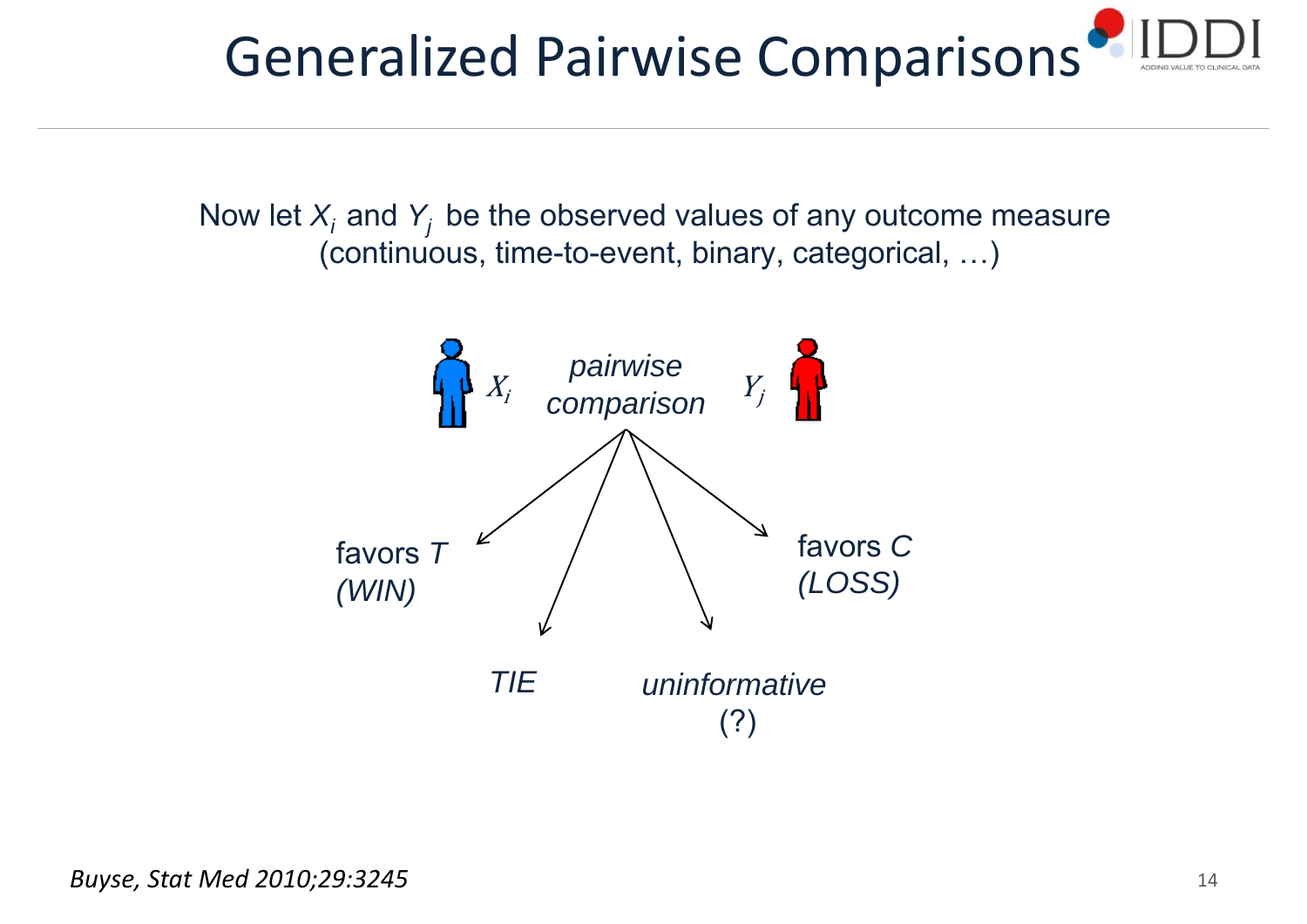

Now let  $X_i$  and  $Y_j$  be the observed values of any outcome measure (continuous, time-to-event, binary, categorical, …)

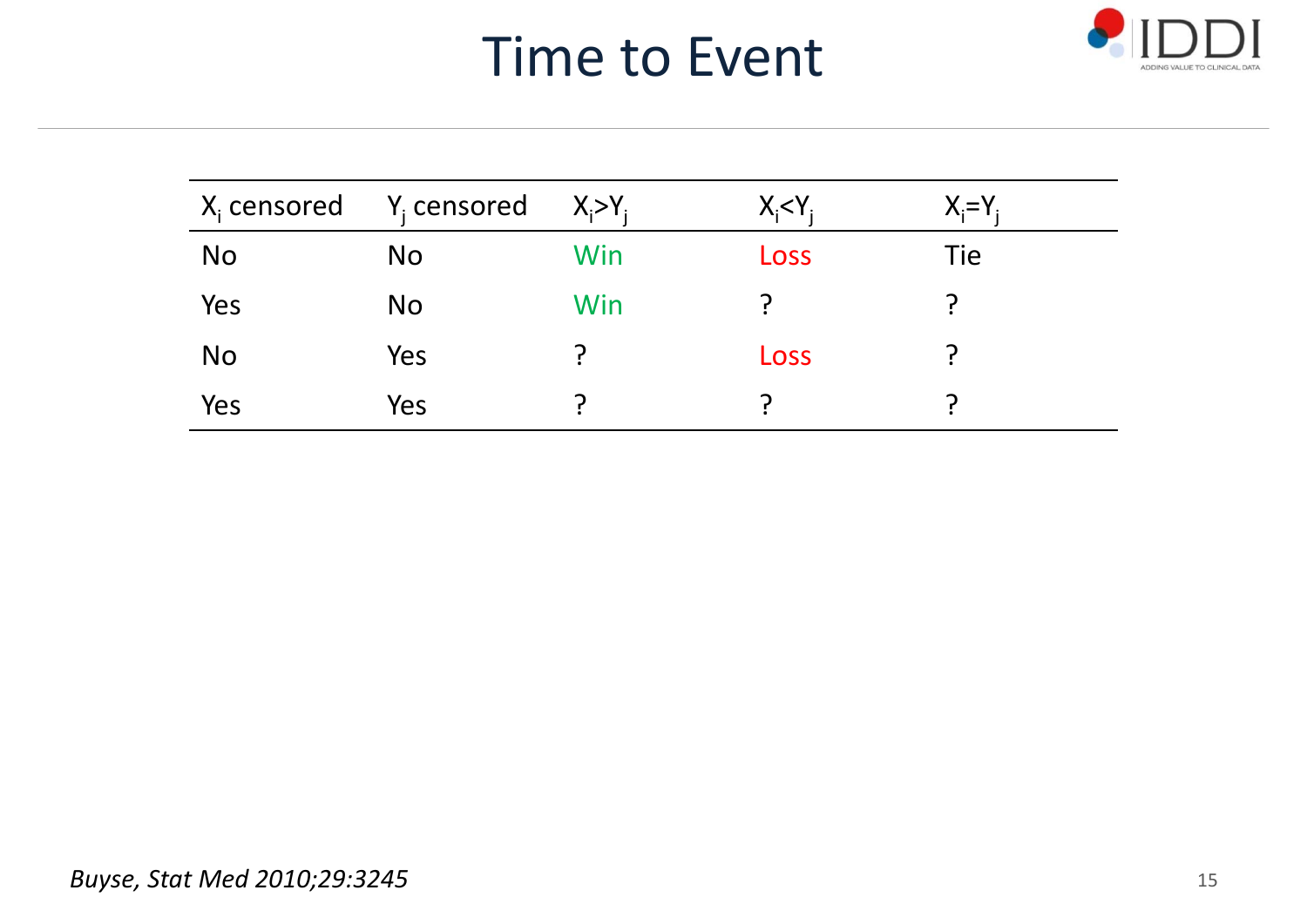## Time to Event



| $X_i$ censored $Y_i$ censored |           | $X_i > Y_i$ | $X_i < Y_i$ | $X_i = Y_i$ |
|-------------------------------|-----------|-------------|-------------|-------------|
| <b>No</b>                     | <b>No</b> | Win         | Loss        | Tie         |
| Yes                           | <b>No</b> | Win         |             |             |
| <b>No</b>                     | Yes       |             | Loss        |             |
| Yes                           | Yes       |             |             |             |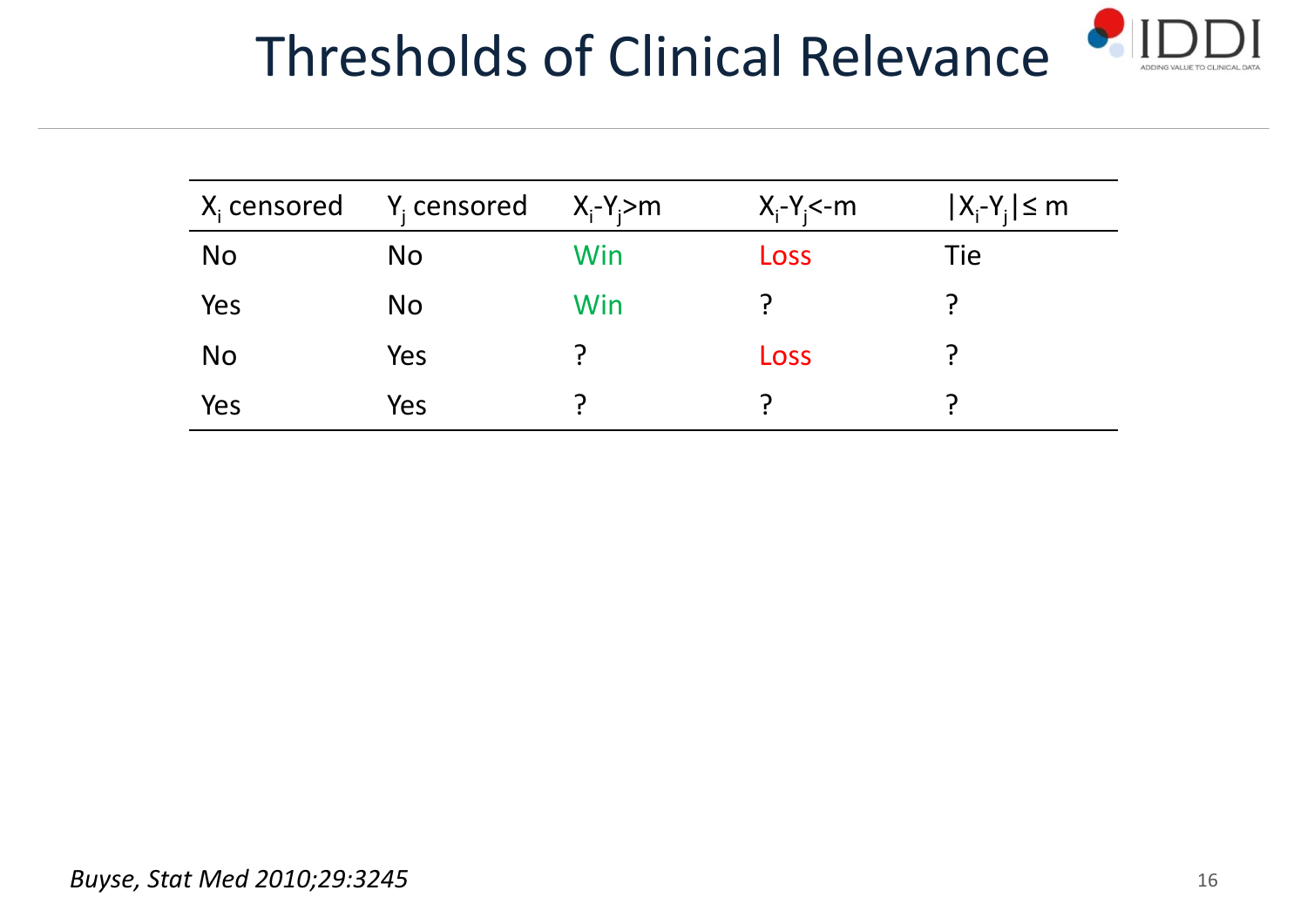# Thresholds of Clinical Relevance



| $X_i$ censored | $Y_i$ censored | $X_i-Y_i > m$ | $X_i-Y_i$ <-m | $ X_i-Y_i  \le m$ |
|----------------|----------------|---------------|---------------|-------------------|
| <b>No</b>      | <b>No</b>      | Win           | Loss          | Tie               |
| Yes            | <b>No</b>      | Win           |               |                   |
| <b>No</b>      | Yes            |               | Loss          |                   |
| Yes            | Yes            |               |               |                   |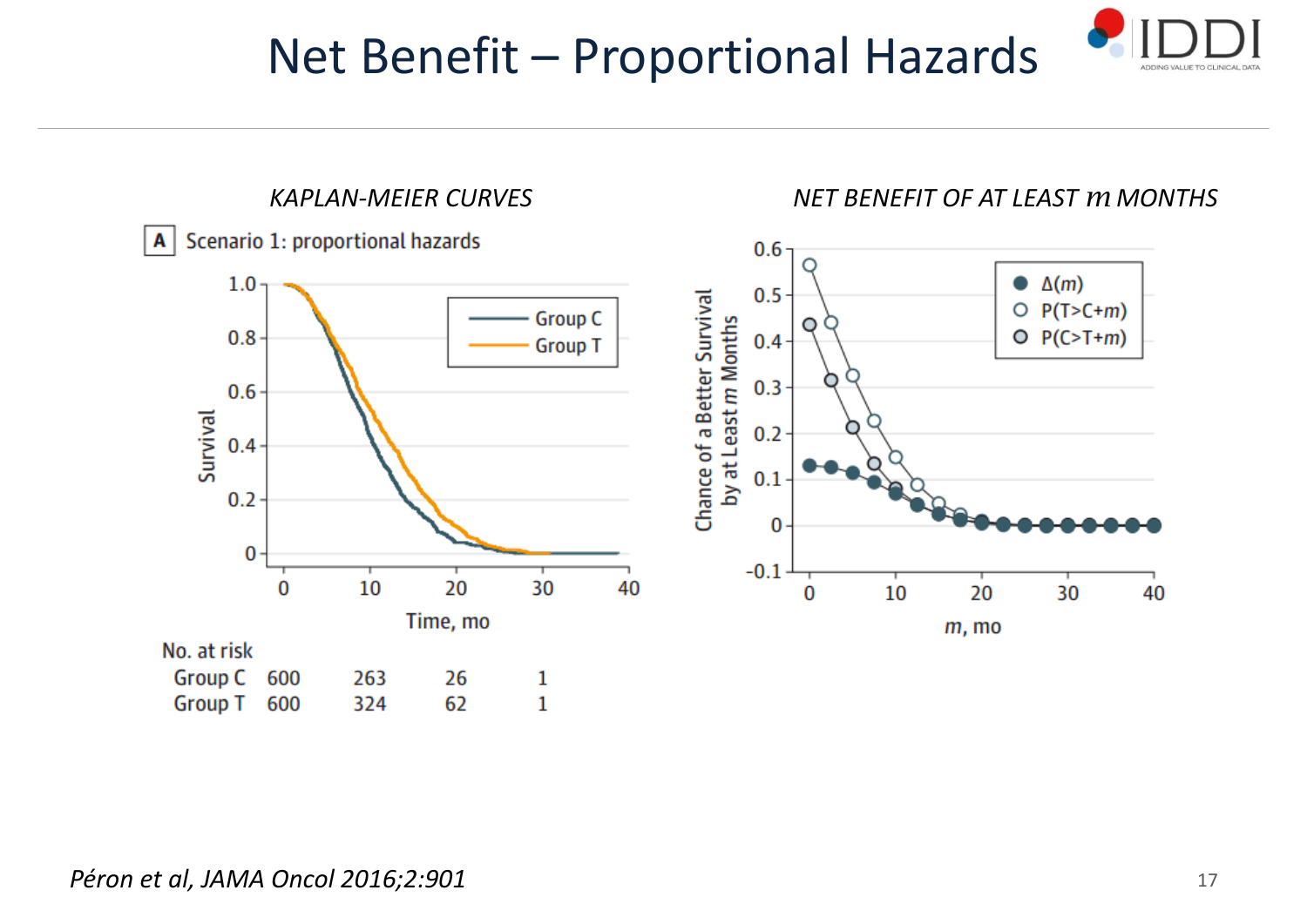### Net Benefit – Proportional Hazards





#### *Péron et al, JAMA Oncol 2016;2:901* <sup>17</sup>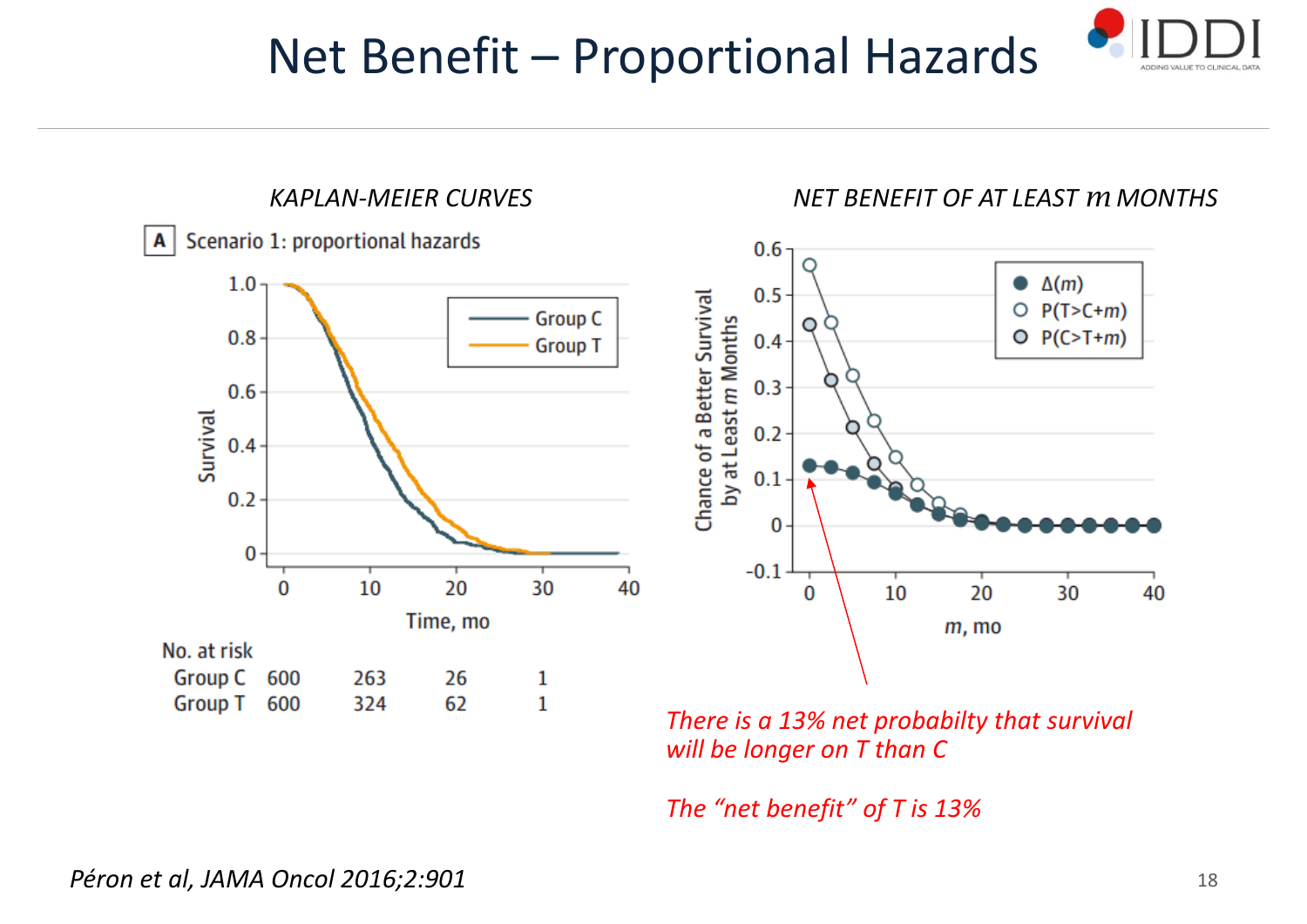### Net Benefit – Proportional Hazards





*There is a 13% net probabilty that survival will be longer on T than C*

*The "net benefit" of T is 13%*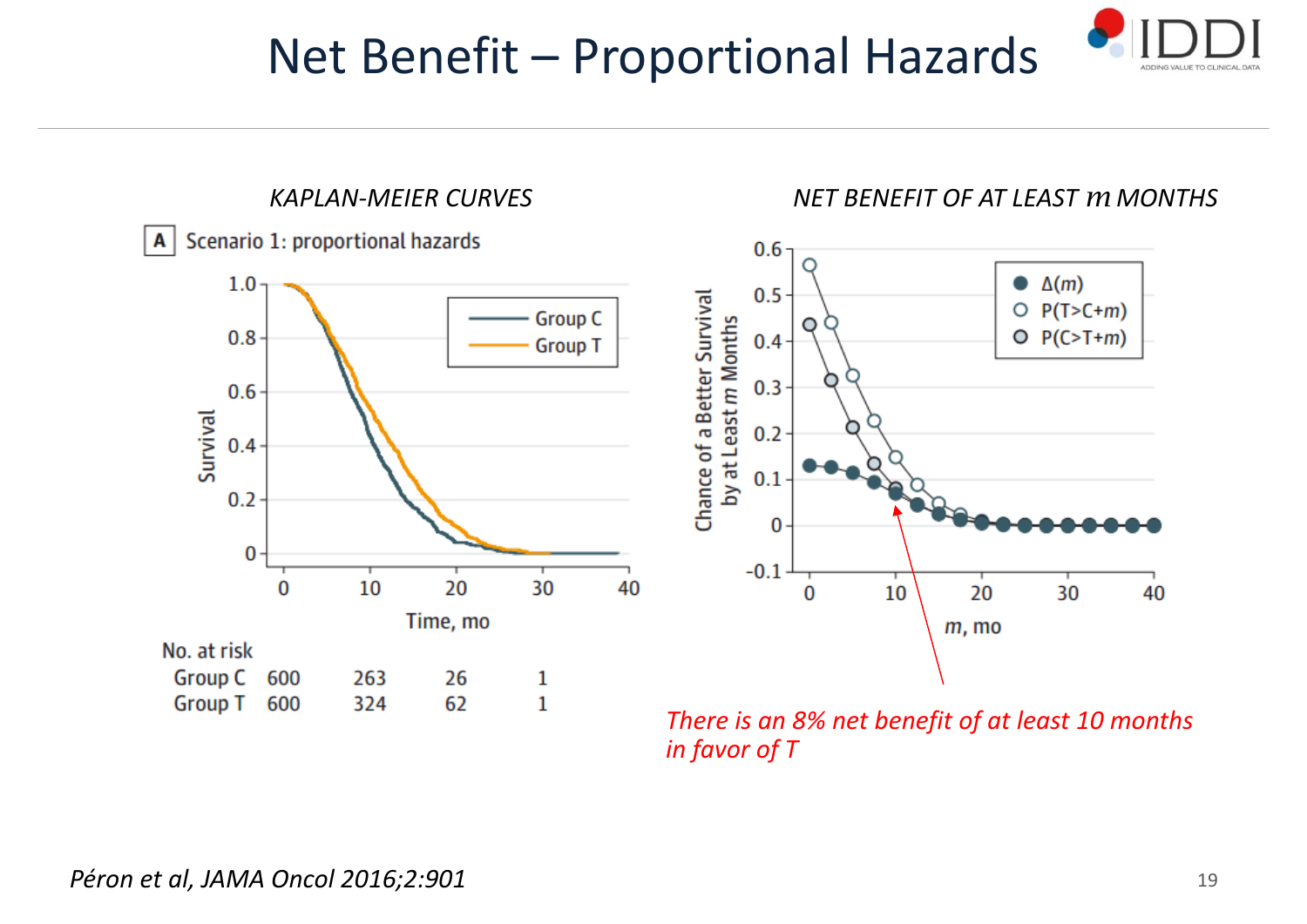### Net Benefit – Proportional Hazards





*There is an 8% net benefit of at least 10 months in favor of T*

40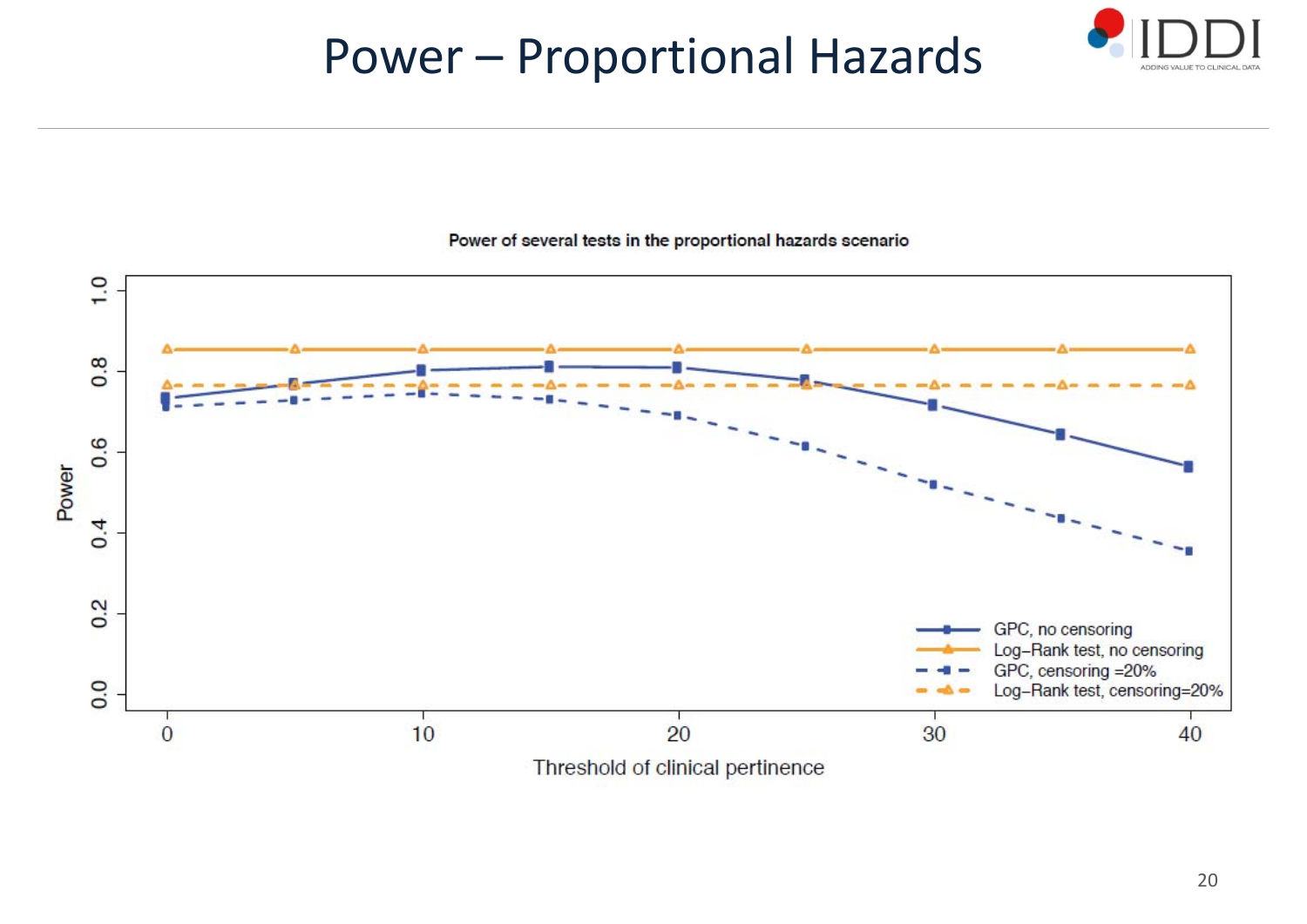### Power – Proportional Hazards





#### Power of several tests in the proportional hazards scenario

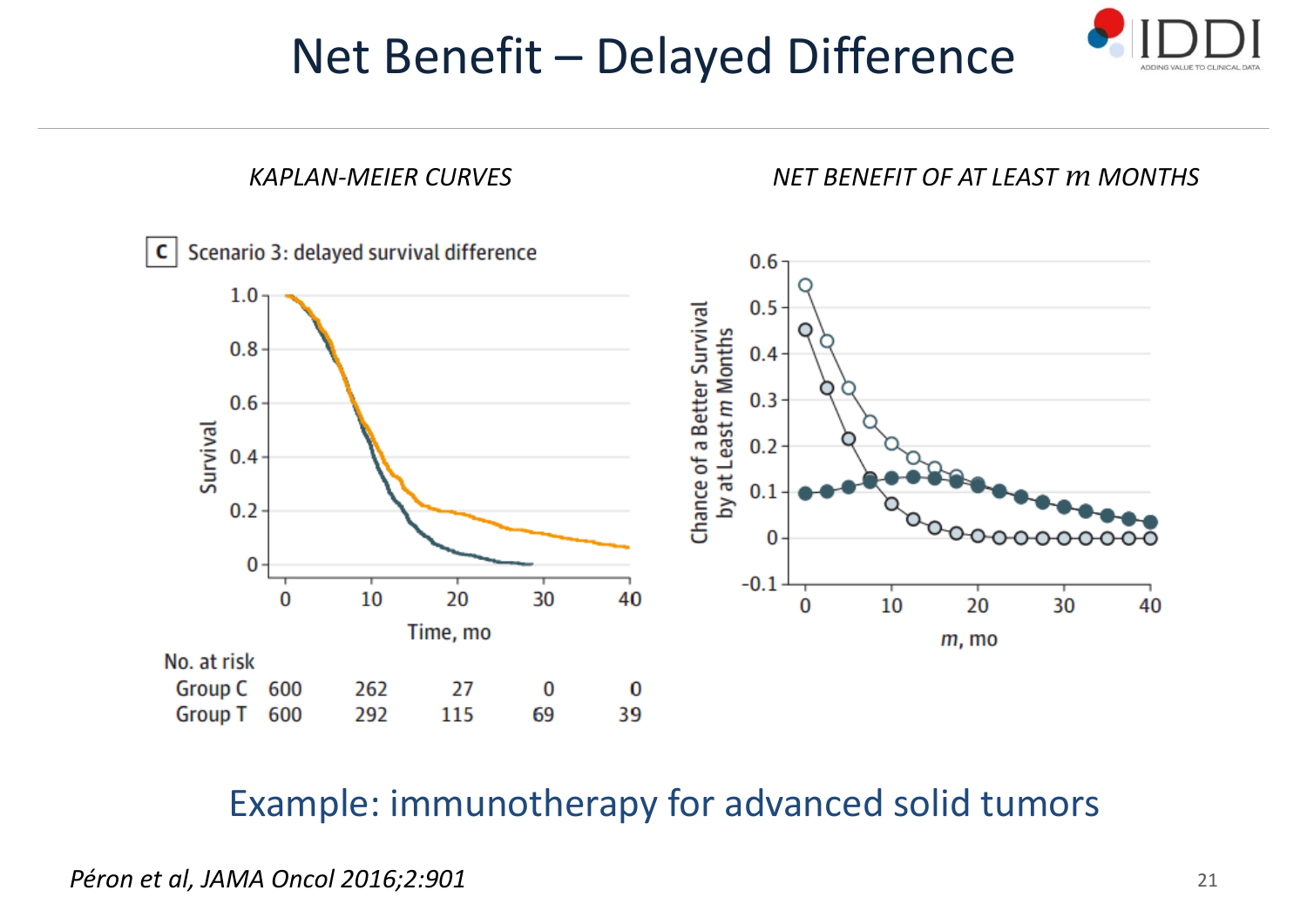### Net Benefit – Delayed Difference





### Example: immunotherapy for advanced solid tumors

*Péron et al, JAMA Oncol 2016;2:901*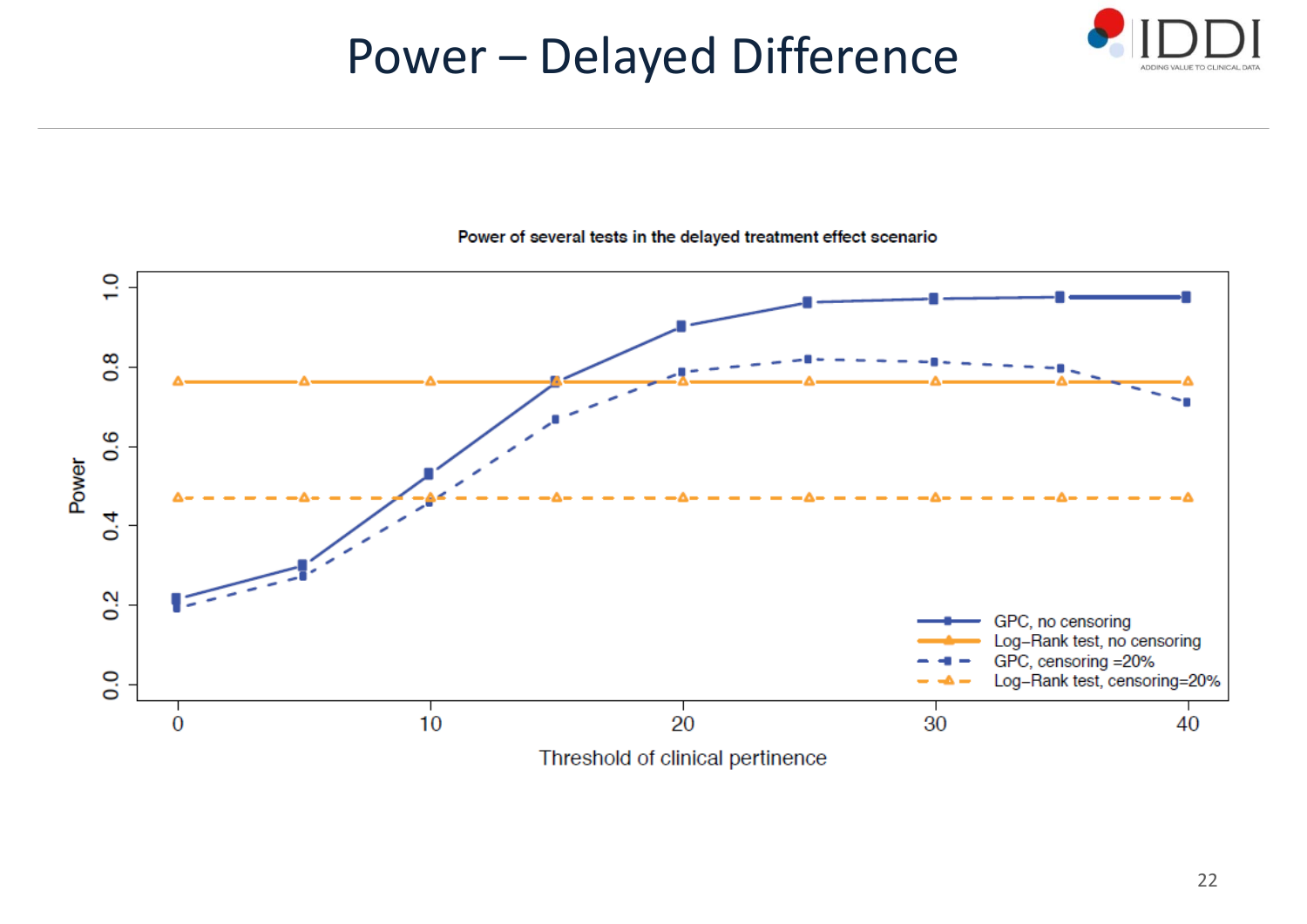### Power – Delayed Difference



#### Power of several tests in the delayed treatment effect scenario

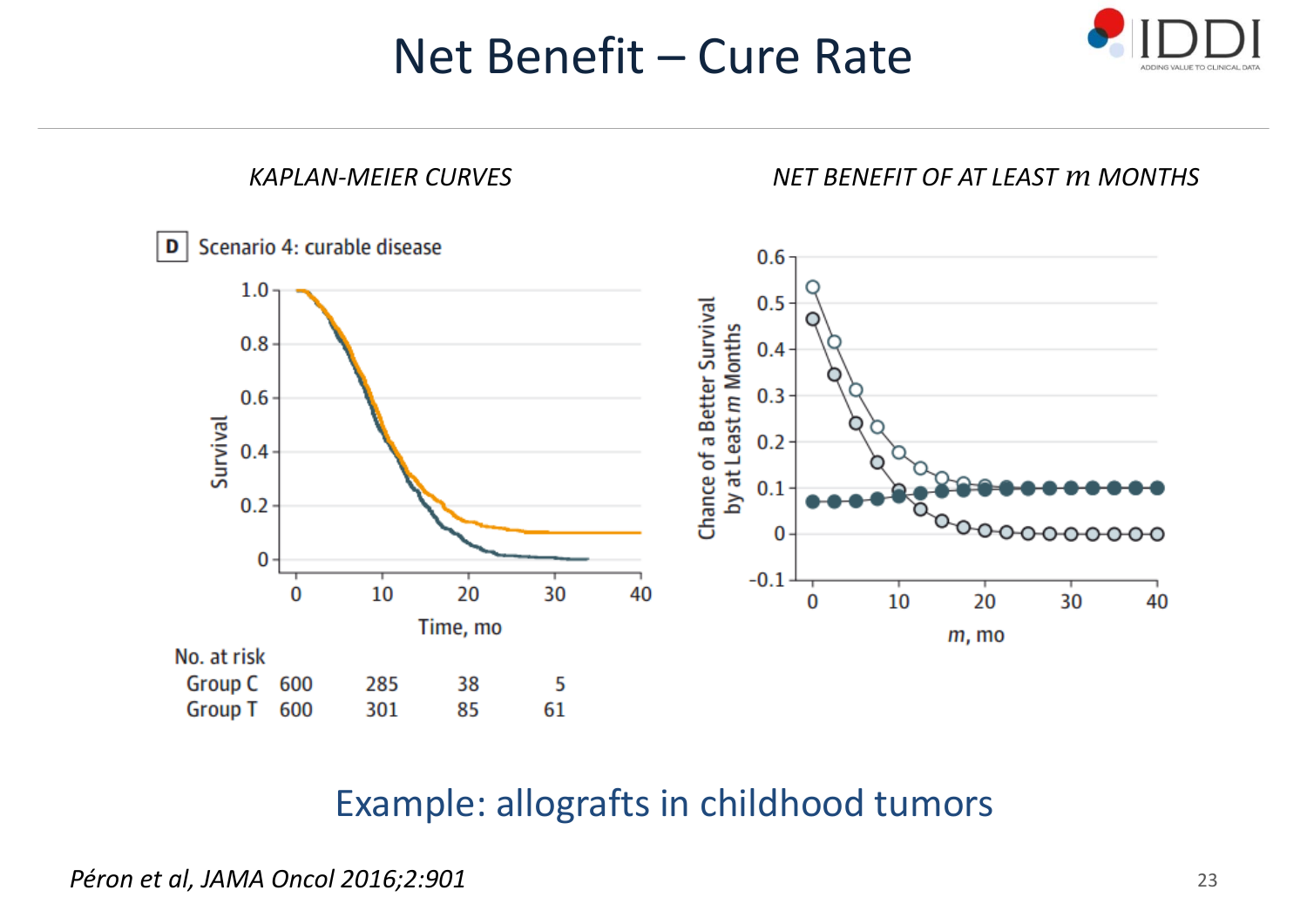### Net Benefit – Cure Rate





### Example: allografts in childhood tumors

*Péron et al, JAMA Oncol 2016;2:901*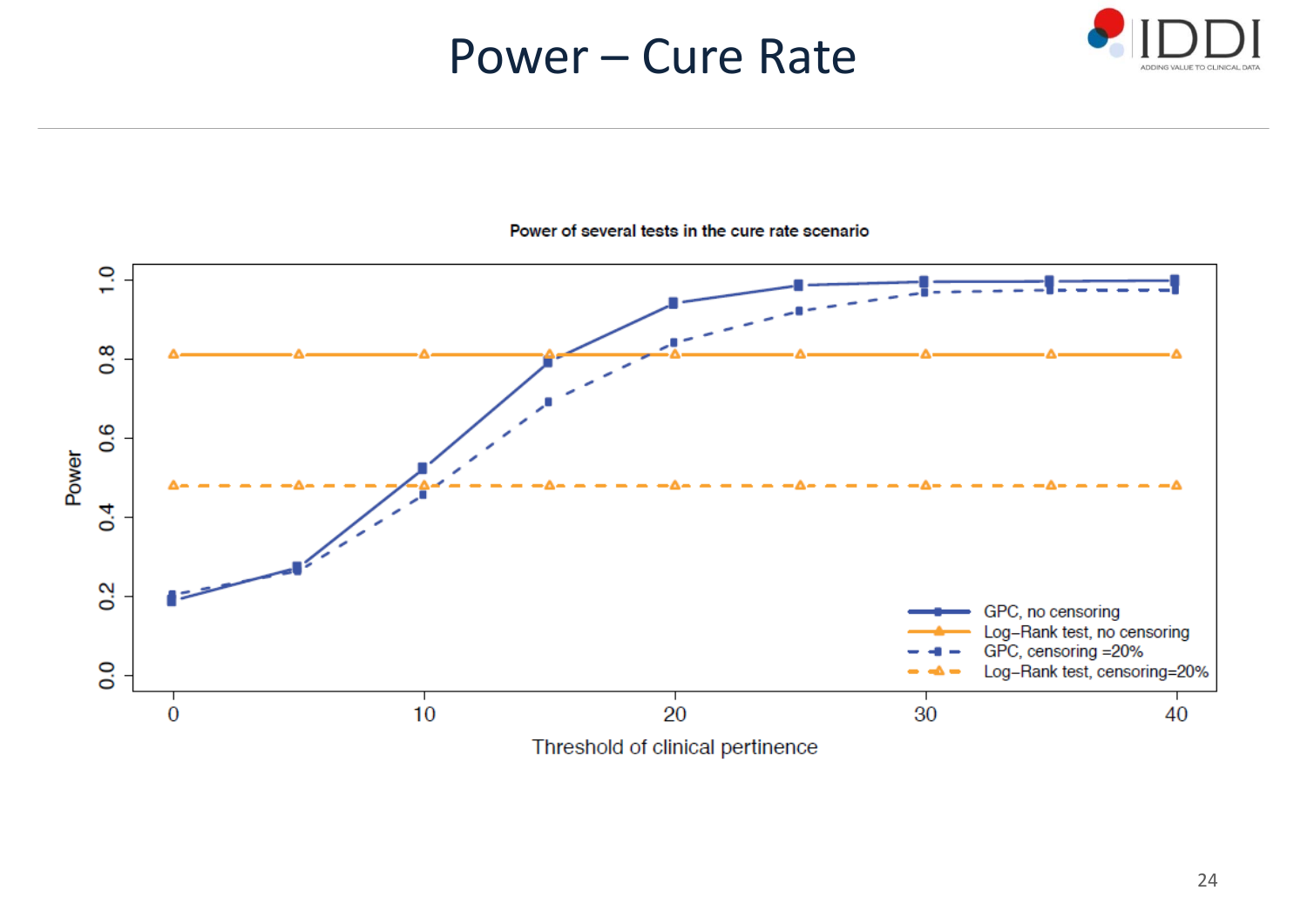### Power – Cure Rate





#### Power of several tests in the cure rate scenario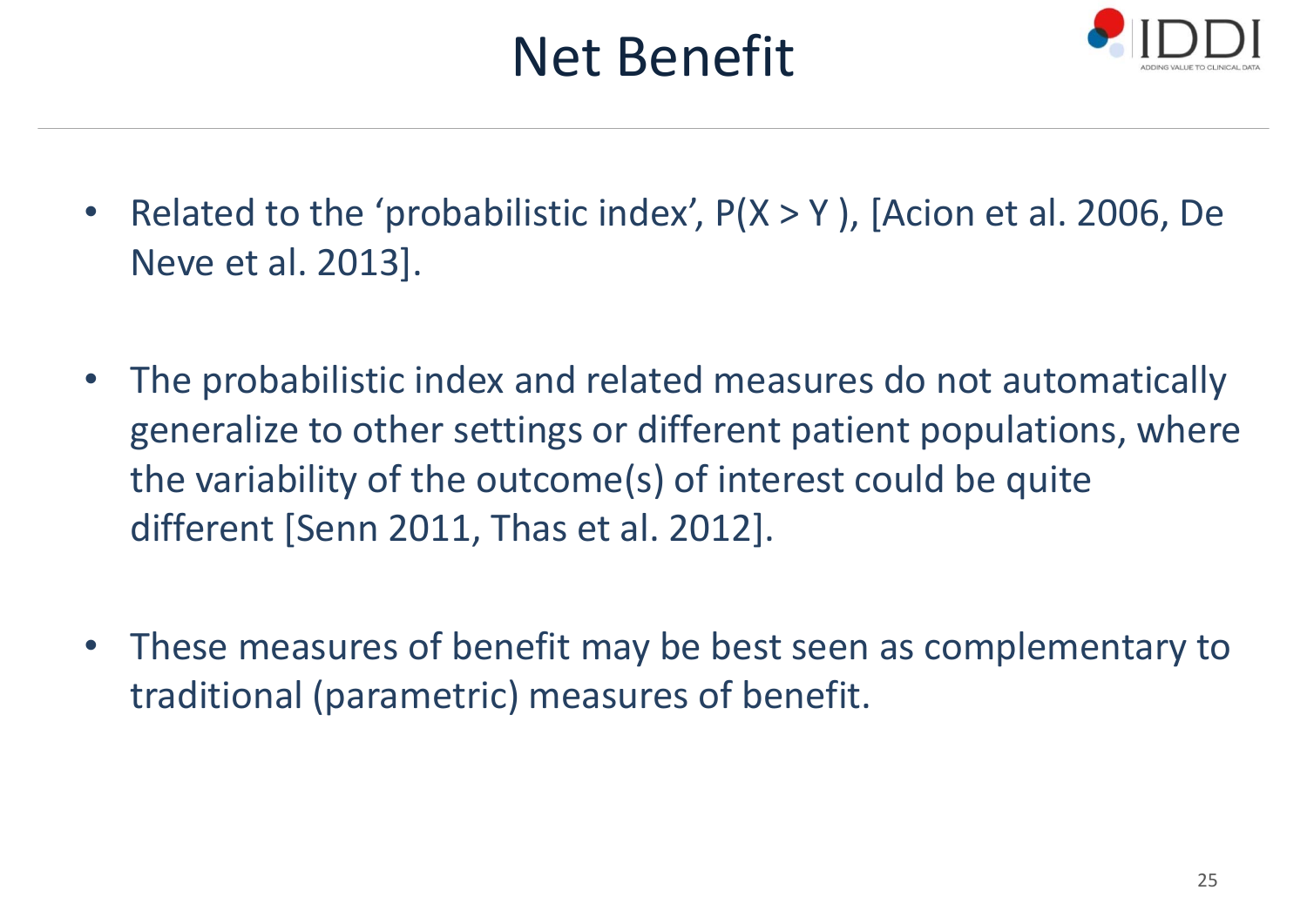## Net Benefit



- •• Related to the 'probabilistic index', P(X > Y), [Acion et al. 2006, De Neve et al. 2013].
- • The probabilistic index and related measures do not automatically generalize to other settings or different patient populations, where the variability of the outcome(s) of interest could be quite different [Senn 2011, Thas et al. 2012].
- These measures of benefit may be best seen as complementary to traditional (parametric) measures of benefit.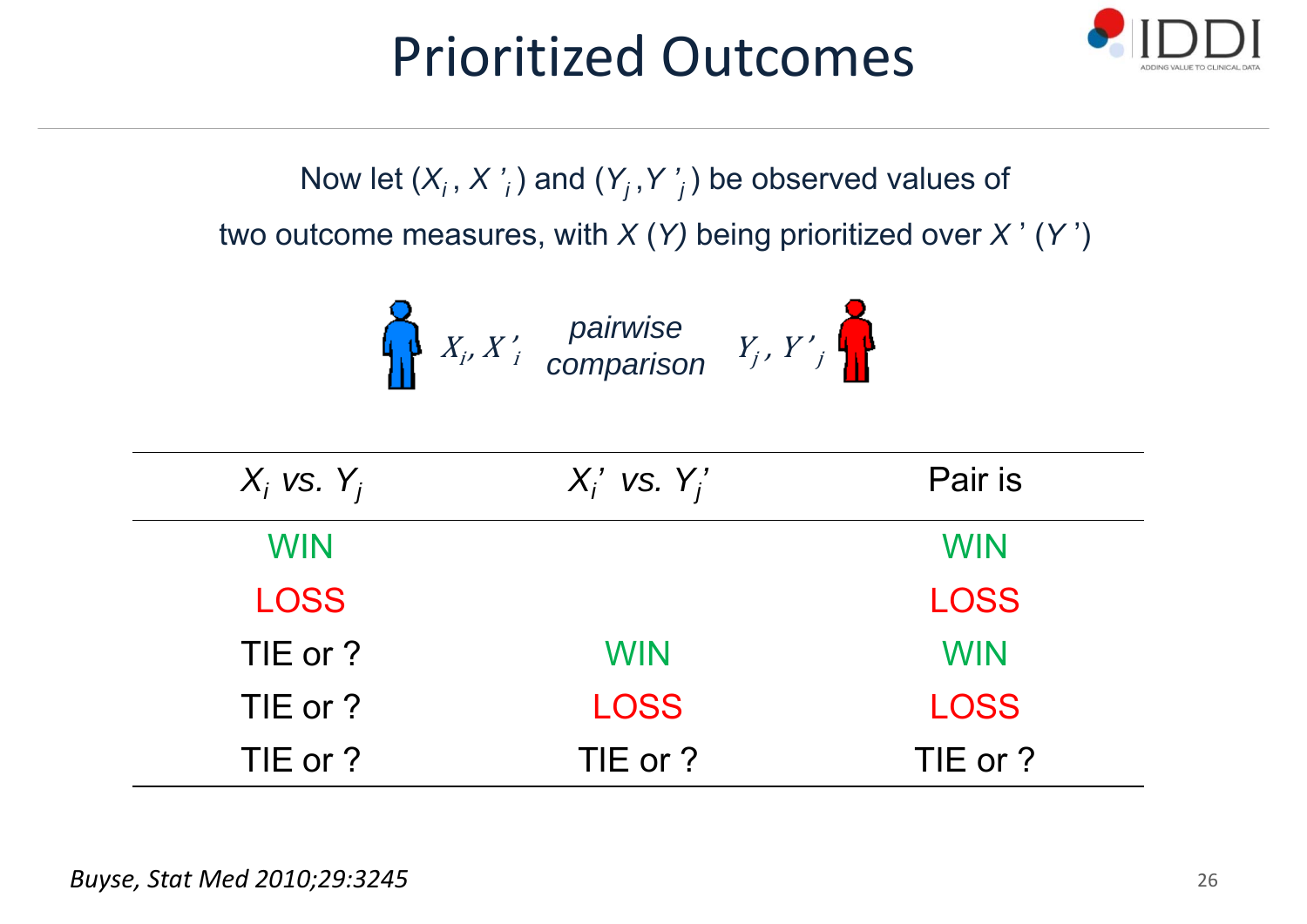## Prioritized Outcomes



Now let  $(X_i, X'_i)$  and  $(Y_i, Y'_i)$  be observed values of two outcome measures, with *X* (*Y)* being prioritized over *X* ' (*Y* ')

$$
X_i, X'_i
$$
 pairwise comparison 
$$
Y_i, Y'_i
$$

| $X_i$ vs. $Y_i$ | $X_i'$ vs. $Y_i'$ | Pair is     |
|-----------------|-------------------|-------------|
| <b>WIN</b>      |                   | <b>WIN</b>  |
| <b>LOSS</b>     |                   | <b>LOSS</b> |
| TIE or ?        | <b>WIN</b>        | <b>WIN</b>  |
| TIE or ?        | <b>LOSS</b>       | <b>LOSS</b> |
| TIE or?         | TIE or ?          | TIE or?     |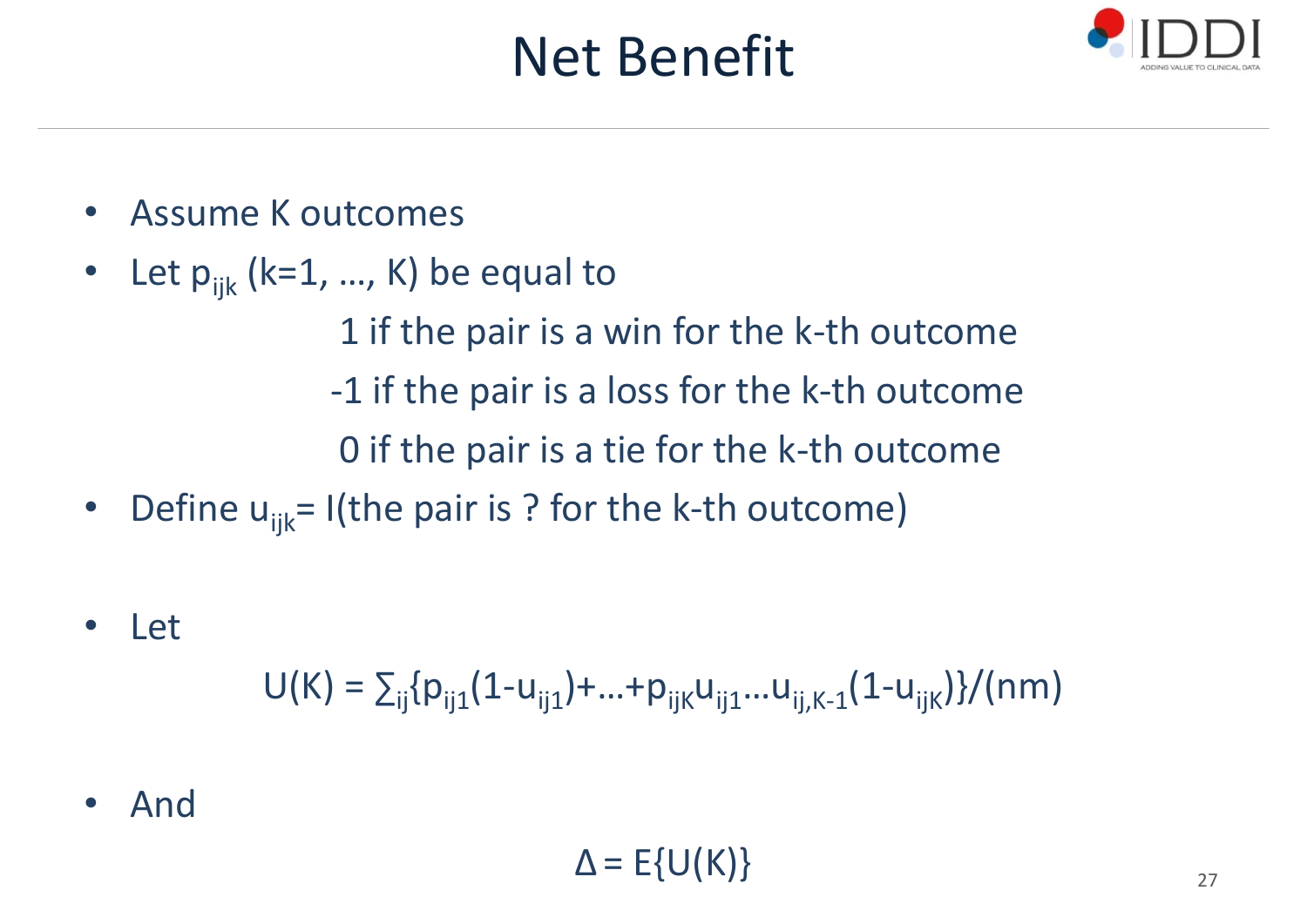## Net Benefit



- •Assume K outcomes
- •Let  $p_{ijk}$  (k=1, ..., K) be equal to

1 if the pair is <sup>a</sup> win for the k‐th outcome ‐1 if the pair is <sup>a</sup> loss for the k‐th outcome 0 if the pair is <sup>a</sup> tie for the k‐th outcome

- •• Define u<sub>ijk</sub>= I(the pair is ? for the k-th outcome)
- •Let

 $U(K) = \sum_{ii} \{p_{ii1}(1-u_{ii1}) + ... + p_{iiK}u_{ii1}...u_{iiK-1}(1-u_{iiK})\} / (nm)$ 

•And

$$
\Delta = E\{U(K)\}
$$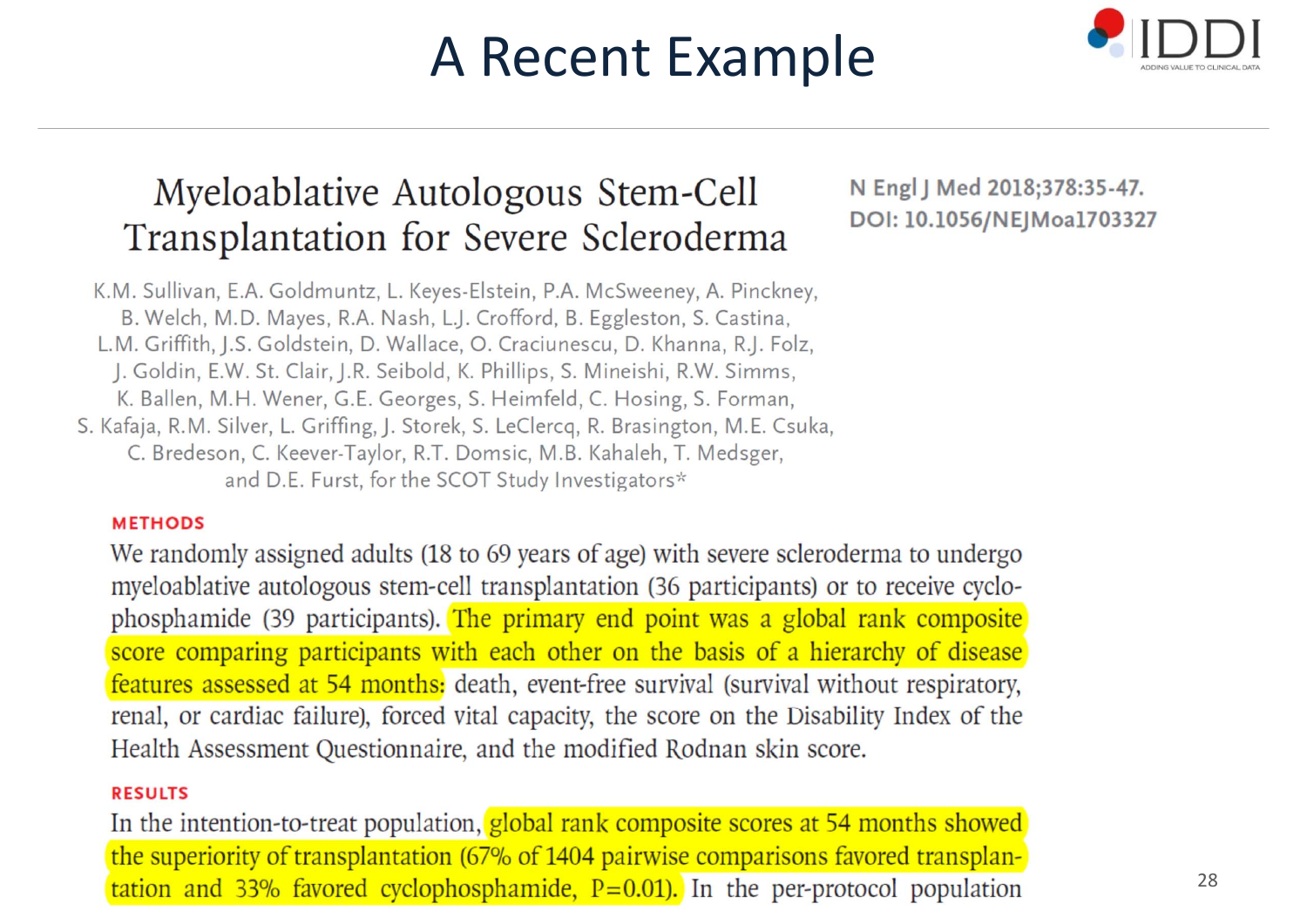## A Recent Example



### Myeloablative Autologous Stem-Cell Transplantation for Severe Scleroderma

K.M. Sullivan, E.A. Goldmuntz, L. Keyes-Elstein, P.A. McSweeney, A. Pinckney, B. Welch, M.D. Mayes, R.A. Nash, L.J. Crofford, B. Eggleston, S. Castina, L.M. Griffith, J.S. Goldstein, D. Wallace, O. Craciunescu, D. Khanna, R.J. Folz, J. Goldin, E.W. St. Clair, J.R. Seibold, K. Phillips, S. Mineishi, R.W. Simms, K. Ballen, M.H. Wener, G.E. Georges, S. Heimfeld, C. Hosing, S. Forman, S. Kafaja, R.M. Silver, L. Griffing, J. Storek, S. LeClercq, R. Brasington, M.E. Csuka, C. Bredeson, C. Keever-Taylor, R.T. Domsic, M.B. Kahaleh, T. Medsger, and D.E. Furst, for the SCOT Study Investigators\*

#### **METHODS**

We randomly assigned adults (18 to 69 years of age) with severe scleroderma to undergo myeloablative autologous stem-cell transplantation (36 participants) or to receive cyclophosphamide (39 participants). The primary end point was a global rank composite score comparing participants with each other on the basis of a hierarchy of disease features assessed at 54 months: death, event-free survival (survival without respiratory, renal, or cardiac failure), forced vital capacity, the score on the Disability Index of the Health Assessment Questionnaire, and the modified Rodnan skin score.

#### **RESULTS**

In the intention-to-treat population, global rank composite scores at 54 months showed the superiority of transplantation (67% of 1404 pairwise comparisons favored transplan- $\tau$  tation and 33% favored cyclophosphamide, P=0.01). In the per-protocol population

N Engl J Med 2018;378:35-47. DOI: 10.1056/NEJMoa1703327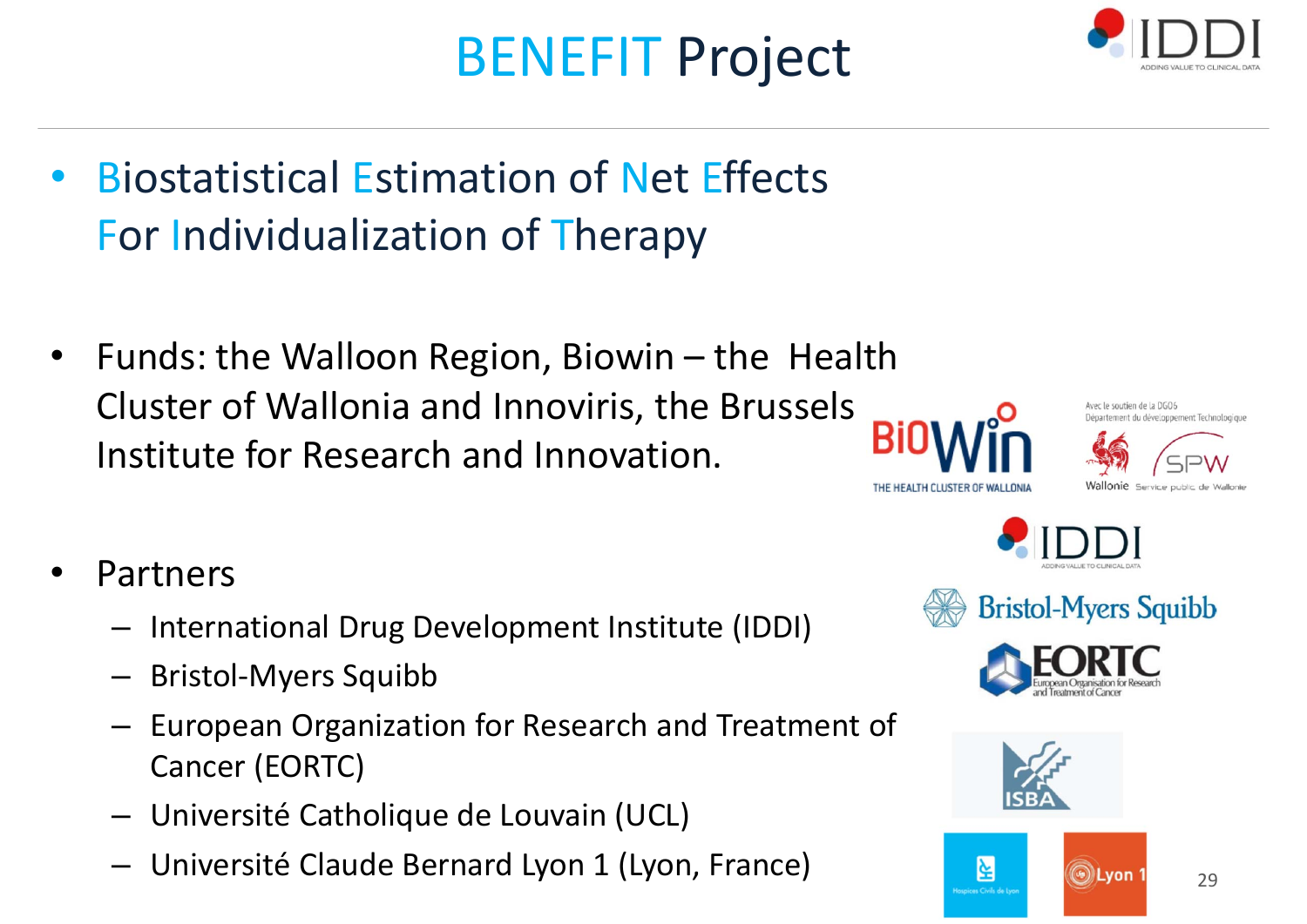# BENEFIT Project

- •**• Biostatistical Estimation of Net Effects** For Individualization of Therapy
- • Funds: the Walloon Region, Biowin – the Health Cluster of Wallonia and Innoviris, the Brussels Institute for Research and Innovation.
- • Partners
	- International Drug Development Institute (IDDI)
	- Bristol‐Myers Squibb
	- – European Organization for Research and Treatment of Cancer (EORTC)
	- Université Catholique de Louvain (UCL)
	- Université Claude Bernard Lyon 1 (Lyon, France)













**OLyon** 



⊻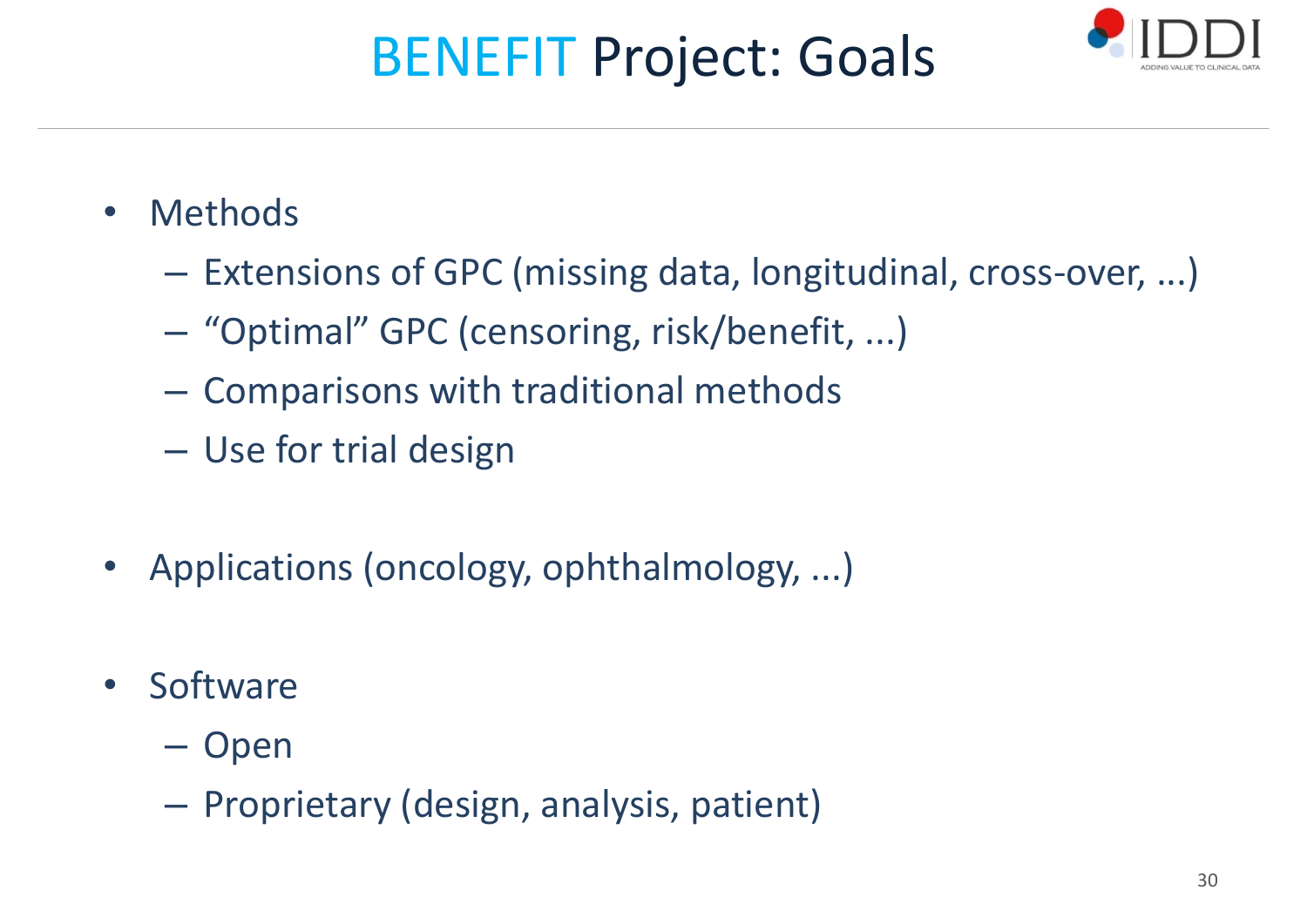# BENEFIT Project: Goals



- • Methods
	- Extensions of GPC (missing data, longitudinal, cross‐over, ...)
	- –"Optimal" GPC (censoring, risk/benefit, ...)
	- –Comparisons with traditional methods
	- Use for trial design
- •Applications (oncology, ophthalmology, ...)
- •• Software
	- –– Open
	- – $-$  Proprietary (design, analysis, patient)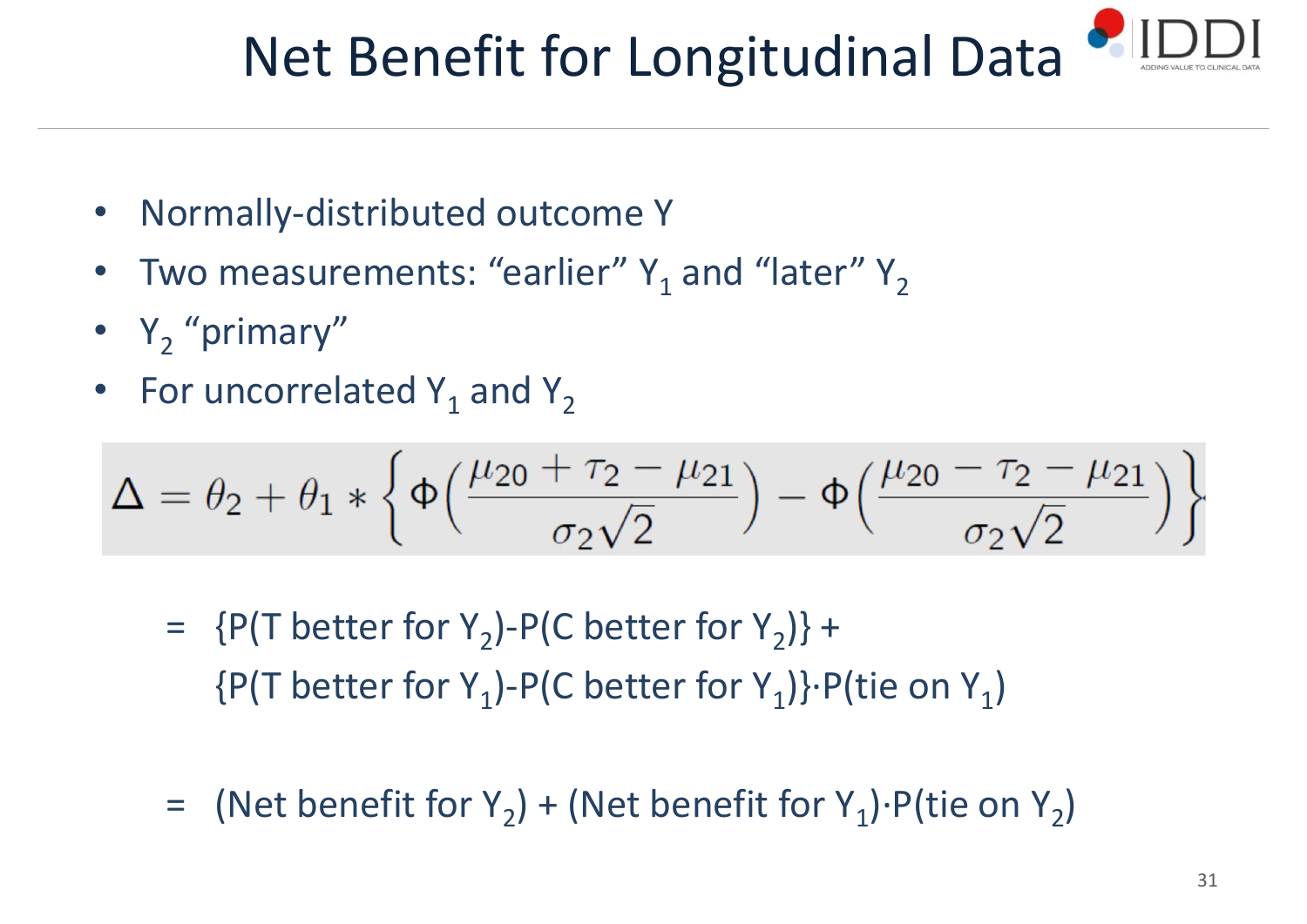# Net Benefit for Longitudinal Data

- •Normally‐distributed outcome Y
- •• Two measurements: "earlier"  $Y_1$  and "later"  $Y_2$
- $Y_2$  "primary"
- •• For uncorrelated  $Y_1$  and  $Y_2$

$$
\Delta = \theta_2 + \theta_1 * \left\{ \Phi\left(\frac{\mu_{20} + \tau_2 - \mu_{21}}{\sigma_2 \sqrt{2}}\right) - \Phi\left(\frac{\mu_{20} - \tau_2 - \mu_{21}}{\sigma_2 \sqrt{2}}\right) \right\}
$$

- =  ${P(T \text{ better for } Y_2) P(C \text{ better for } Y_2)} +$  ${P(T \text{ better for } Y_1) - P(C \text{ better for } Y_1)} \cdot P(tie \text{ on } Y_1)$
- = (Net benefit for Y<sub>2</sub>) + (Net benefit for Y<sub>1</sub>)∙P(tie on Y<sub>2</sub>)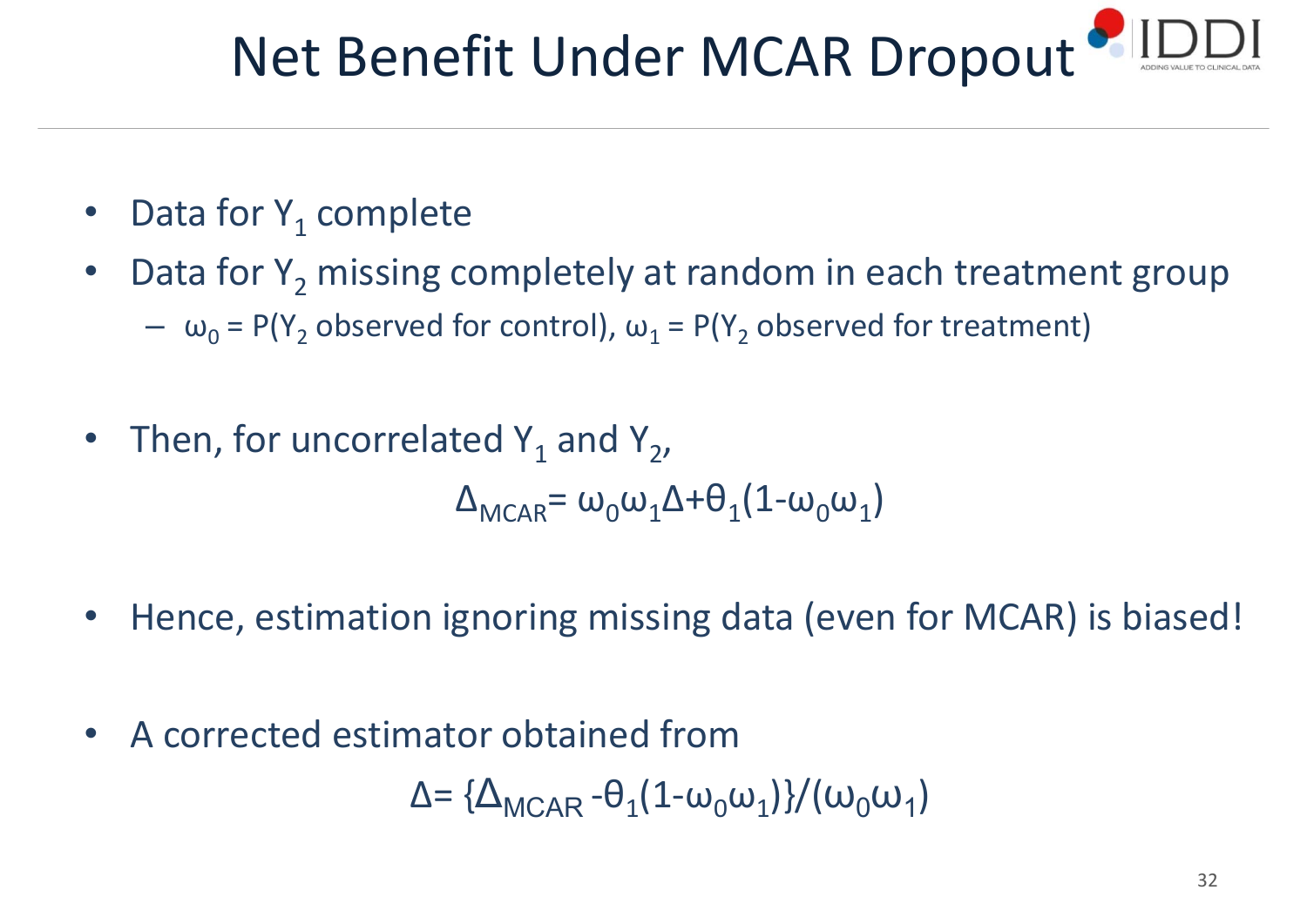# Net Benefit Under MCAR Dropout

- •• Data for  $Y_1$  complete
- •• Data for  $Y_2$  missing completely at random in each treatment group –  $\omega_0$  = P(Y<sub>2</sub> observed for control),  $\omega_1$  = P(Y<sub>2</sub> observed for treatment)
- •• Then, for uncorrelated  $Y_1$  and  $Y_2$ ,  $\Delta_{\text{MCR}} = \omega_0 \omega_1 \Delta + \theta_1 (1 - \omega_0 \omega_1)$
- •Hence, estimation ignoring missing data (even for MCAR) is biased!
- •A corrected estimator obtained from

$$
\Delta = {\Delta_{\text{MCAR}} - \theta_1 (1 - \omega_0 \omega_1)} / (\omega_0 \omega_1)
$$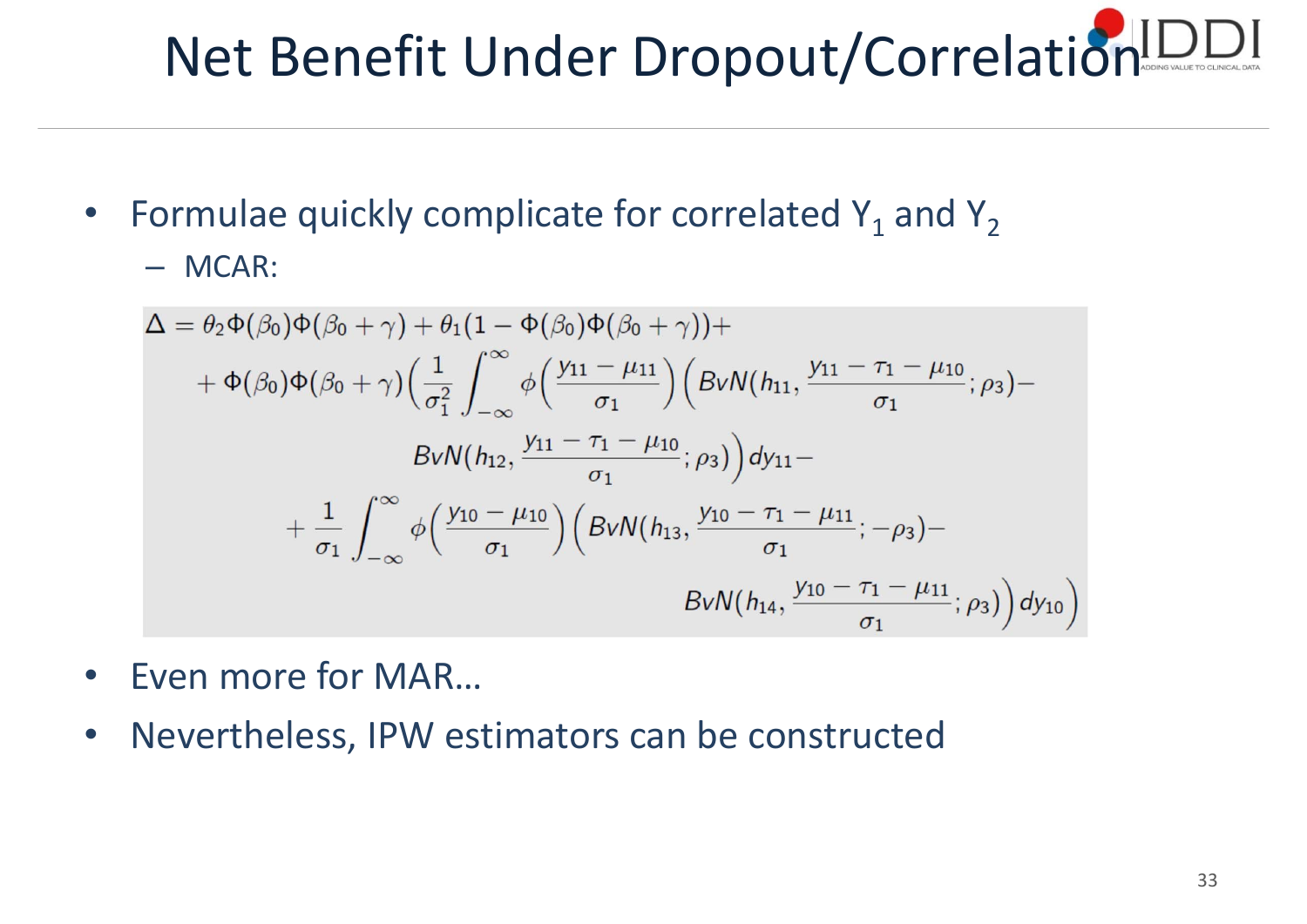# Net Benefit Under Dropout/Correlation

- Formulae quickly complicate for correlated  $Y_1$  and  $Y_2$ 
	- MCAR:

$$
\Delta = \theta_{2} \Phi(\beta_{0}) \Phi(\beta_{0} + \gamma) + \theta_{1} (1 - \Phi(\beta_{0}) \Phi(\beta_{0} + \gamma)) + \n+ \Phi(\beta_{0}) \Phi(\beta_{0} + \gamma) \Big(\frac{1}{\sigma_{1}^{2}} \int_{-\infty}^{\infty} \phi\Big(\frac{y_{11} - \mu_{11}}{\sigma_{1}}\Big) \Big(BvN(h_{11}, \frac{y_{11} - \tau_{1} - \mu_{10}}{\sigma_{1}}; \rho_{3}) - \nBvN(h_{12}, \frac{y_{11} - \tau_{1} - \mu_{10}}{\sigma_{1}}; \rho_{3})\Big) dy_{11} - \n+ \frac{1}{\sigma_{1}} \int_{-\infty}^{\infty} \phi\Big(\frac{y_{10} - \mu_{10}}{\sigma_{1}}\Big) \Big(BvN(h_{13}, \frac{y_{10} - \tau_{1} - \mu_{11}}{\sigma_{1}}; -\rho_{3}) - \nBvN(h_{14}, \frac{y_{10} - \tau_{1} - \mu_{11}}{\sigma_{1}}; \rho_{3})\Big) dy_{10}\Big)
$$

- $\bullet$ Even more for MAR…
- $\bullet$ Nevertheless, IPW estimators can be constructed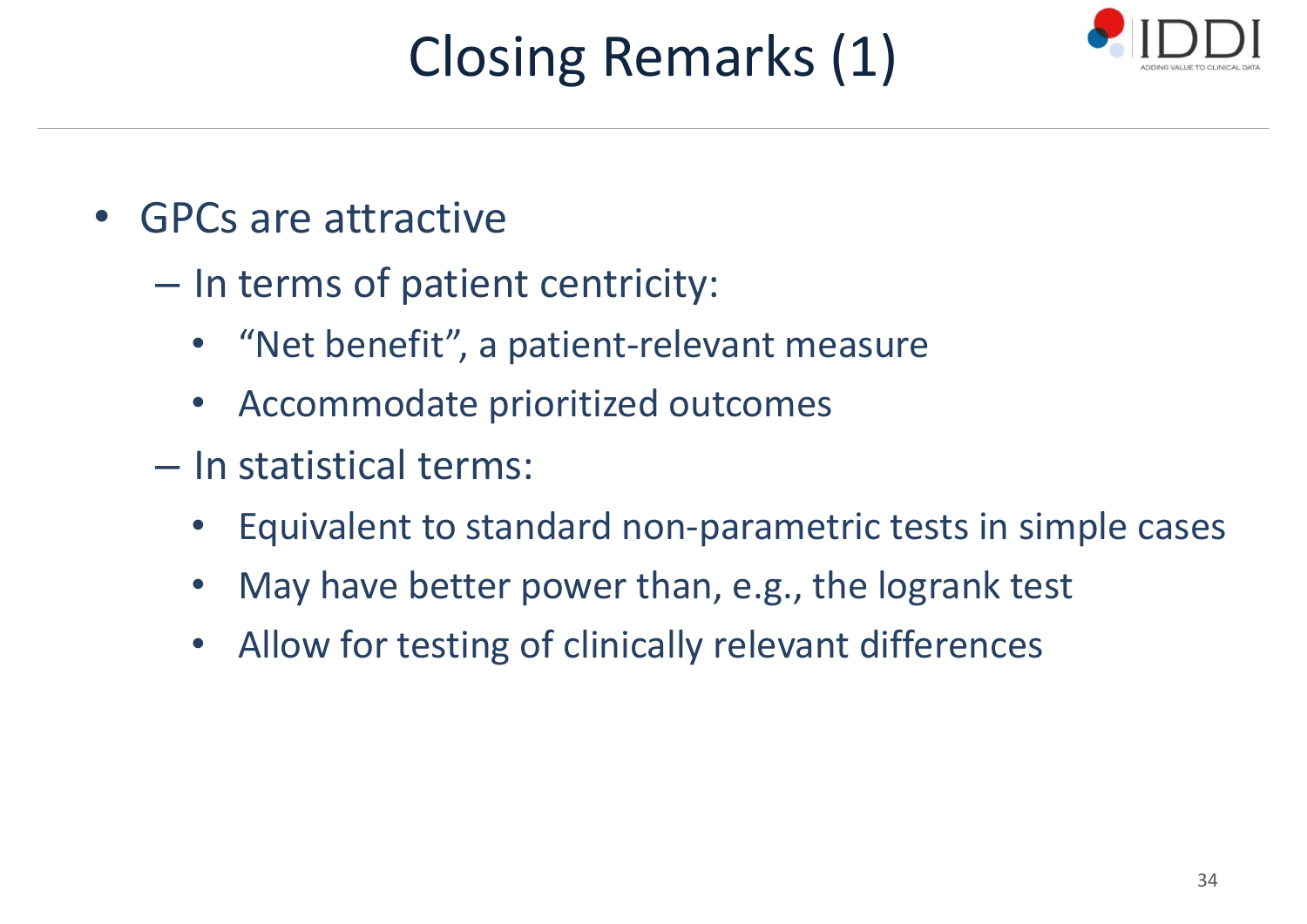# Closing Remarks (1)



- $\bullet$  GPCs are attractive
	- –- In terms of patient centricity:
		- •"Net benefit", <sup>a</sup> patient‐relevant measure
		- Accommodate prioritized outcomes
	- In statistical terms:
		- •Equivalent to standard non‐parametric tests in simple cases
		- •May have better power than, e.g., the logrank test
		- Allow for testing of clinically relevant differences